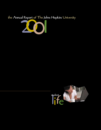the Annual Report of The Johns Hopkins University



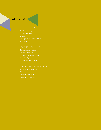#### table of contents

- 1 President's Message
- 
- 5 Research
- 
- 24 Investments

- 
- 28 Operating Revenues
- 29 Operating Expenses—by Object
- 30 Operating Expenses—by Function
- 

- 
- 33 Balance Sheets
- 34 Statement of Activities
- 36 Statements of Cash Flows
- 37 Notes to Financial Statements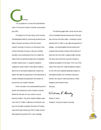It is my plea reetings:

 It is my pleasure to convey this annual financial report of The Johns Hopkins University covering fiscal year 2001.

 Throughout its 125-year history, Johns Hopkins has distinguished itself by continuously pioneering new fields of research and study. As the first modern research university in America, we introduced a new model of education focused on discovery. Medical education was revolutionized when we created the nation's first true teaching hospital with an integrated scientific medical school. In academic disciplines ranging from public health to international relations, astronomy to biomedical engineering, Hopkins has blazed new paths by supporting a world-class faculty of creative individuals and giving them the freedom to pursue their own research interests.

 At the conclusion of an unprecedented period of growth and achievement, Johns Hopkins University finishes the first year of a new century in sound financial condition. The Johns Hopkins Initiative raised more than \$1.5 billion in gifts and commitments, and upon its successful completion the Board of Trustees voted at the start of fiscal year 2001 to begin immediately laying the groundwork for a new campaign.

 The following pages offer a closer look at some of the remarkable financial achievements of the past year, and how the funds raised—including an unprecedented \$347.4 million in new gifts and payments on pledges—are being targeted toward projects and programs that will keep Hopkins at the forefront of discovery. But more than a catalog of gifts received, this report documents the way Johns Hopkins is building a foundation for the future. From one of the nation's first centers for civilian biodefense research to one of its most respected graduate programs in international studies, the University continues to pioneer new areas of critical importance in these dangerous and turbulent times.

William R. Brody

Sincerely,

William R. Brody President, The Johns Hopkins University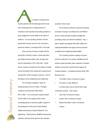Hopkins partners with s a research university, Johns Hopkins partners with the federal government and other funding sponsors in seeking answers to humanity's most important and pressing questions on issues ranging from human health to the nature of existence. It is not surprising, therefore, that the predominant revenue source for the University is sponsored research, comprising 54.6% of the total.

 Other sources of revenue, equally critical to serving the University's mission, include instruction and related revenues (tuition, fees, housing, food service) representing 11.6% of the total. Clinical service revenues, primarily from the delivery of health care by the faculty of the medical and nursing schools, represent 9% of the University's revenues. Most of the balance is from philanthropy and investments.

 The University is pleased to report an operating surplus of \$213.9 million. This figure compares to the fiscal year 2000 total of \$87.0 million. The current year's surplus includes \$120.8 million in the unspent portion of two exceedingly generous anonymous gifts in support of the development of the Johns Hopkins Malaria Institute and the Johns Hopkins Institute for Cell Engineering. These funds are classified as temporarily restricted, and they will be spent for their intended

purposes in future years.

 The University continues to improve its business processes, focusing on providing more cost-effective service in areas as diverse as grants management, purchasing, travel, and internal mail delivery. Also, a plan to replace and upgrade information systems for existing administrative and support services has been completed and is beginning implementation.

 The University has been investing in its future with the construction of a number of facilities that will enhance student amenities, allow expansion of research activities, and provide overall improved support for Hopkins programs. Completed during the 2000–2001 fiscal year were:

• The Mattin Center, Homewood Campus

• Downtown Center, Baltimore

- Currently under way are several other major construction projects. They include:
- Clark Hall, Homewood Campus
- Hodson Hall, Homewood Campus
- Student Recreation Center, Homewood Campus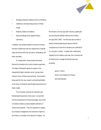

- Broadway Research Building, School of Medicine
- Additions to the Bloomberg School of Public Health
- Peabody Institute renovations
- Several buildings at the Applied Physics Laboratory

In addition, the already beautiful Homewood campus has been transformed with the replacement of asphalt walks and drives with brick and stone, landscaping, and other amenities.

 To a large extent, these projects are being financed by donations from Johns Hopkins supporters. The State of Maryland's generous support of its independent higher education sector has also been critical to some of these improvements. Some debt is being used for the new research and teaching facilities in the School of Medicine and the Bloomberg School of Public Health.

 The University continues its rolling five-year financial planning process. Every year, in conjunction with the development of its annual budget, each of the University's divisions projects detailed estimates of revenue and expense. They are subjected to analysis by University management and reviewed in depth by the Finance Committee of the Board of Trustees. For

the first time, the five-year plan includes a capital plan, documenting the facilities needs across Hopkins through 2005–2006. The five-year plan provides a basis for financial planning and assures that the consequences of near-term decisions are understood in a long-term context. Coupled with a debt policy adopted by the trustees a year ago, the University has the fiscal tools to manage its financial resources prudently.

> James T. McGill Senior Vice President for Finance and Administration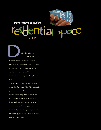## improvements to student at JHMI al space.

sun<br>Divisions installe uring the spring and summer of 2001, the Medical

Divisions installed in the Reed Medical Residence Hall the network wiring for direct internet service in the dorm. Students can now have network access within 24 hours of move-in by completing a simple application form.

 Reed Hall is also undergoing renovations on the first floor of the West Wing which will provide much-needed student recreational space in the building. Planned for this first floor area are the following: a recreational lounge with ping pong and pool table, new vending area, gaming lounge, conference room, small group meeting room, computer room with approximately 12 stations to start with, and a TV lounge.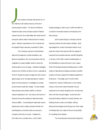ohns Hopkins University entered the turn of<br>the millennium still ranked at the top of the list in the millennium still ranked at the top of the list in earning research dollars. The School of Medicine retained its place as the principal recipient of federal research funds in the United States and ranked second among the nation's select medical schools in training grants. Research expenditures in the University and the Applied Physics Laboratory exceeded \$1 billion.

The University's sponsors include federal, state and local agencies, private foundations, and generous benefactors who are among those with the imagination to expect tangible results in areas only dreamed about not so long ago. Individual investigator projects over \$1million are fairly common, especially as the NIH doubles its research budget and other science agencies gear up for increased spending on research grants, but the pressures on investigators to quickly produce these results also multiply. To help mediate these pressures and position itself for continued research leadership in the 21st century, the School of Medicine formed the Institute for Basic Biomedical Sciences (IBBS). Concentrating the eight basic science departments under a single umbrella will foster the interdisciplinary connections that more sponsors recognize as the key to success. Catalyzed by \$30 million from a private donor, a \$125 million

funding campaign is under way to confirm this effort as a model for biomedical research and teaching in the basic sciences.

Johns Hopkins faculty's virtuosity would be hampered without the best research facilities. Buildings designed for modern biomedical research must break the molds of the past and offer the capacity to transcend the boundaries between scientific disciplines. A 10-story, \$140 million research building begun on the East Baltimore campus this year is such a space. When the Broadway Research Building opens in 2004, clusters of laboratories arranged according to scientific problems will have replaced the traditional departmental structure. This design, part of a \$324 million investment in research infrastructure on the medical campus, will promote natural interaction among researchers from diverse disciplines who can help each other with their focused insights. Anchored by the McKusick-Nathans Institute for Genetic Medicine, the building will also contain core facilities, offering advanced technologies and techniques out of the range of individual labs, and a state-of-the-art mouse facility for modeling human disease.

The most advanced and powerful equipment

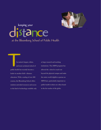

# distance at the Bloomberg School of Public Health keeping your

Example 14 and more public health has a more control of the same state of the same state of the same state of the same state of the same state of the same state of the same state of the same state of the same state of the he nation's largest, oldest, and most acclaimed school of public health has recently become a leader in another field—distance education. With a catalog of over 400 courses, the Bloomberg School offers students unrivaled resources and access to the kind of technology available only

at large research and teaching institutions. The iMPH program has allowed the school to reach out beyond the physical campus and make the entire world eligible to pursue an MPH here, particularly important as public health workers are often found in the far reaches of the globe.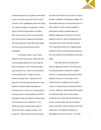

is another necessity for the progression of knowledge. On the Homewood campus the Center for Macromolecular X-Ray Crystallography opened with receipt of a 1,600-pound Rigaku X-ray generator. Funded in part by a \$300,000 National Science Foundation grant, the new center will serve Hopkins scientists from Arts and Sciences, Engineering, and Medicine who study proteins and nucleic acids to gain insights into their structures that otherwise would be unobtainable.

In biomedical research, cancer is being tackled from every known angle. Breast cancer has received particular attention from both private and government sponsors. Avon Products Foundation made an award of \$2.2 million from funds raised by the Avon Breast Cancer Crusade to the Johns Hopkins Oncology Center. Studies will run the gamut from molecular genetic biomarkers for cancer detection to behavioral aspects associated with screening and care. Breast cancer research gave the Oncology Center an unprecedented fourth SPORE (Specialized Programs for Research Excellence) grant from the National Cancer Institute (NCI). This SPORE joins others currently funding research in cancers of the colon, prostate, and lungs. It will provide \$2.7 million during the first year of funding

and a total of \$14 million over five years for a range of prevention, diagnostic, and therapeutic strategies. NCI also awarded researchers in the Bloomberg School of Public Health \$4.4 million for studies designed to demonstrate the ability to evaluate rapidly and efficiently multiple types of biomarkers for the early detection of cancer or markers of developing cancer. Using study cohorts, which have been active since 1974, researchers will learn how to assess potential markers for breast, skin, and lung cancers rapidly and aid in their transition from the laboratory to the clinical setting.

Alternative research and treatments for cancer are gaining prominence in the medical arena. The National Institutes of Health (NIH) National Center for Complementary and Alternative Medicine awarded a five-year \$7.8 million grant to Johns Hopkins Medicine to establish the Johns Hopkins Center for Complementary and Alternative Medicine in Cancer. Initially, four studies of alternative therapies for breast and prostate cancers will be pursued, including the use of certain herbs as antioxidants, soy and sour cherries for pain relief, and the impact of prayer on the health of African-American women with breast cancer. The findings are believed to be generalizable to other forms of cancer. The center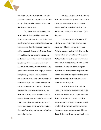

eventually will review and fund pilot studies of other alternative treatments with the goals of determining the most promising alternative treatments and the most scientific way of studying them.

Many other diseases are undergoing close scrutiny, which is changing thinking about effective therapies. Approaches range from investigation of their genetic antecedents to the sociological factors that may trigger disease or determine whether or how those afflicted are treated. Researchers in Medicine, Cardiology, and Biomedical Engineering, for example, are working to correct heart failure abnormalities by dual gene therapy. The NIH has provided them with \$1.6 million to test the hypothesis that targeting a single gene is ineffective because of the interplay of factors in heart physiology. Hopkins is helping to advance understanding of the possibilities for using human cells as therapeutic agents. With a \$58.5 million gift from a visionary anonymous donor, the School of Medicine has initiated the Institute for Cell Engineering. Researchers comprising multidisciplinary teams have an exceptional new environment in which to work on cell engineering problems, such as the use of adult stem cells, unraveling mysteries and applying the results to the repair of everything from heart failure to injuries to neurological disorders.

Child health is of great concern for the future of our nation and the world. Johns Hopkins Children's Center gastroenterologists received a \$1 million research grant from the National Institute on Drug Abuse to study viral hepatitis in the children of injection drug users.

 Eradication in the U.S. of hepatitis B and C infection, to which these children are prone, could save at least \$200 million over the next 10 years. Pediatrics researchers received \$1.9 million from the National Institute for Nursing Research to determine the benefits of home nebulizer education intervention for low-income minority children with asthma. These children have unusually high rates of emergency department care and hospital visits compared to other children. The researchers hope that the intervention will reduce morbidity and save money that can be rechanneled into finding a cure.

Led by the Bloomberg School of Public Health, Johns Hopkins has intensified its commitment to global child health with a grant of \$20 million from the Bill and Melinda Gates Foundation to find the precise combination of vitamins and other micronutrients that will most effectively save lives and prevent illness among impoverished mothers and children in the developing world. Nepal, representing this world,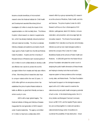

became a double beneficiary of micronutrient research when the National Institute for Child Health and Development awarded Bloomberg School investigators \$3 million to study the impact of zinc supplementation on child mortality there. This follows Hopkins' critical research on vitamin A supplementation, which has already drastically reduced preschool child and maternal mortality. The drive to eradicate infectious diseases and epidemics prompted a fourth major grant to Public Health from the Bill and Melinda Gates Foundation. Hopkins and the University of Maryland School of Medicine each received grants of \$21.4 million to work collaboratively to develop a safe and effective new vaccine to protect the world's youngest children from measles and help save millions of lives. Bloomberg School researchers also hope to conquer malaria within the next 10 years. A \$100 million gift from an anonymous donor has established the Johns Hopkins Malaria Institute to battle an affliction so great that it literally can leave a whole country in ruins.

AIDS is still a major global tragedy. The National Institute of Allergy and Infectious Diseases inaugurated the next generation of AIDS research under Hopkins leadership. The agency committed \$7.3 million to help fund a collaborative AIDS

research effort by a group representing 101 researchers at the schools of Medicine, Public Health, and Arts and Sciences. The Johns Hopkins Center for AIDS Research will focus on four critical aspects of HIV infection: pathogenesis, latent HIV infection, immune restoration, and prevention; and encourage high-risk innovative research. The threat of local and global devastation from naturally occurring new and emerging infections as well as man-made biological warfare is behind the concept of the Center for Civilian Biodefense Studies at the schools of Public Health and Medicine. A \$300,000 grant from the Robert Wood Johnson Foundation stimulated the center's work in analyzing the public health dimensions of these threats and helping to develop tools that would build a response system to these problems at the municipal, county, state, and federal levels. The Sloan Foundation has focused its support on the biological weapons aspect with a \$3.5 million award to examine the national security and public health emergency potential of such a crisis. In the biotechnology sector, the U.S. Army Soldier and Biological Chemical Command, known as SBCCOM, and the Applied Physics Laboratory are working together to create and operate a national biotechnology center of excellence to counteract the possibility of mass destruction. Includ-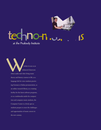

# techno on ...

the space of the space of the calibration of the space of the space of the space of the space of the space of the space of the space of the space of the space of the space of the space of the space of the space of the spac hether in use as an enhanced classroom where audio and video bring music theory and history courses to life, as a language lab for voice students practicing German or Italian pronunciation, as an online research library, as a training facility for the latest software programs, or as a multimedia studio for composition and computer music students, the Computer Center is a lively spot as students prepare to meet the challenges and opportunities of music careers in the new century.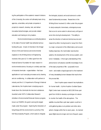

ing the participation of the academic research divisions of the University, the center will ultimately team Army agencies, universities, and private companies in projects to research, develop, test, and deliver innovative biotechnologies, and provide related education and training to Army leaders.

Environmental stresses as contributing factors to the state of human health have attracted serious funding this year. A team of chemists in the Krieger School of Arts and Sciences and environmental engineers in the Whiting School of Engineering received a five-year \$2.71 million grant from the National Science Foundation for basic research in environmental science, focusing on a widely used class of industrial chemicals—organohalides—that have applications in such everyday processes as dry cleaning and air conditioning. In collaboration with partners in industry and the U.S. Department of Energy's National Laboratories, the Hopkins team is studying ways to break down the chemicals into less toxic substances. Awarded under NSF's Collaborative Research Activities in Environmental Molecular Science program, known as CRAEMS, the grant is among the largest made under this program. Exploring the interaction of living things with the environment is a priority of the NSF Biocomplexity Program, which seeks to integrate

the biological, physical, and social sciences to understand fundamental processes. Researchers in the Whiting School received \$1 million under this program to study eukaryotic chemotaxis, a biological process that occurs to some extent in almost every cell type at some time during its development. This ability to sense the direction of external chemical sources and respond by either moving toward or away from them is a major component of the inflammatory and woundhealing responses, the mammalian reproductive systems, the development of the nervous system, and tumor metastasis. A thorough understanding of this phenomenon will advance scientific knowledge of one of the basic properties of life—purposeful movement—and enable a logical approach to the treatment of many devastating human diseases that result when this process fails.

Even Hopkins space research has implications for human health. A Johns Hopkins–Goddard Space Flight Center team received an \$815,500 three-year grant from NASA to develop a prototype of a device to monitor the health of the atmosphere. The satellite-mounted fiber-optic laser system could be in orbit gathering data on air pollution and other atmospheric changes within five to seven years. As manned space flights become longer and more frequent, space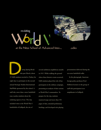

th<br>35 SAIS students uring Spring Break this past March, about 35 SAIS students traveled to Turkey for eight days to participate in the second annual Strategic Studies International Staff Ride sponsored by the school. A staff ride, more than a mere battlefield tour, teaches students about the enduring aspects of war. The trip included visits to the World War I battlefields of Gallipoli, the site of

several ambitious amphibious assaults in 1915. While walking the ground where these historic events occurred, SAIS students played the role of key participants in the military campaign, presenting an analysis of their actions as World War I commanders. To prepare for the trip, students mastered maps and more than 350 pages of data, attended preliminary briefings, and developed role-playing

presentations delivered during the on-scene battlefield walks.

 In the photograph, American foreign policy professor Fred Holborn lectures to the group of staff ride participants in an ampitheater in Gallipoli.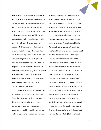medicine, where the convergence between technology and the human body reaches peak expression, is filling a critical need. The NASA-sponsored National Space Biomedical Research Institute (NSBRI) approved more than \$7 million over three years to fund five biomedical projects, including a "digital human," proposed by the Applied Physics Laboratory. APL, along with the School of Medicine, is a charter member of NSBRI, a consortium of 12 institutions headed by the Baylor College of Medicine in Houston. NASA also recognized the Applied Physics Lab's skill in conducting space missions with approval to move into the development phase of the first trip to the planet Mercury in more than a generation. APL will manage the mission and design, build, and operate the MESSENGER spacecraft. The \$256 million MESSENGER (for Mercury Surface, Space Environment, Geochemistry and Ranging) is the third Discovery project managed by APL.

Hopkins is also keeping pace with space age technologies. The Materials Research Science and Engineering Center succeeded in its second competition for a five-year \$5.4 million grant from the National Science Foundation. Specializing in nanostructured materials—materials of extraordinarily small dimensions that have applications in computers

and other magnetoelectronic devices—the center supports research by eight scientists from Arts and Sciences and Engineering, two from Brown University, and one from the National Institute of Standards and Technology, and hosts educational outreach programs.

Strategic partnerships have created some important new research resources that reflect salient contemporary issues. These alliances maintain the University's fundamental mission of research and education while helping to apply the knowledge gained to matters of crucial importance. Anticipating the continuing debate on health care, the Bloomberg School of Public Health and the Georgetown University Law Center entered into one such partnership with the establishment of the Center for Law and the Public's Health, located at the Bloomberg School. A three-year \$900,000 award from the Public Health Law Program at the Centers for Disease Control and Prevention readies the center, in partnership with the CDC Public Health Law Program and other organizations, to conduct applied research, training and education, and other activities to strengthen the contribution law makes to improved health. Privacy is no less a concern in an increasingly electronic world. To confront these issues, the Johns Hopkins University Information Security Institute (JHUISI) was formed,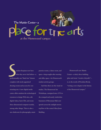

Superior de la Complete de la Complete de la Complete de la Complete de la Complete de la Complete de la Complete de la Complete de la Complete de la Complete de la Complete de la Complete de la Complete de la Complete de tudent thespians now have what they never had before—a professionally run "black box" theater complete with nicely appointed dressing rooms and an area for constructing sets. A new digital media center offers students the technological resources to design Web sites, edit digital videos, burn CDs, and create three-dimensional computer models, among other things. There is also a new darkroom for photography, music

practice rooms, a dance room, and space—long-sought-after meeting and office space—for Homewood's student activity groups.

 And then there are the visual art studios. The Homewood Art Workshops, consigned since 1974 to the cramped and nearly windowless basement of Merryman Hall, now sprawls across the sunlight-strewn top floor of the center's Ross Jones Building.

 Homewood's new Mattin Center—a sleek, three-building, glass-and-stone "creative chrysalis" is, in the words of President Brody, "writing a new chapter in the history of the Homewood campus."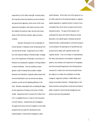

supported by a \$10 million seed gift. Involving nearly all University schools and divisions as well as industry and government agencies, where some of the most advanced knowledge in information security is held, the institute will examine major security and privacy issues in their technical, business, legal, and policy contexts.

Research deriving from the complexities of human behavior is helping to draw thinking away from one-size-fits-all models. Supported by \$1.6 million from the National Institute of Mental Health, investigators in the Department of Psychiatry in the School of Medicine are studying the regulation of energy balance in obese individuals. They are building a unique genetic model of obesity that considers multiple elements: the interaction of genetic determinants with environmental factors such as exercise and dietary practices, as well as with signaling pathways in the brain. Behaviors associated with contrasting life stages are the objectives of funding in the School of Public Health. Researchers there received \$3.8 million from CDC to establish the JHU Center for the Prevention of Youth Violence. Departments and investigators throughout the school will work together to formulate programs that can guide the development and implementation of interventions designed to deter

violent behavior. At the other end of the spectrum is a \$3 million grant from the National Institute on Aging to explain disparities in cognitive function in seniors more completely than can be shown by gene-environment interactions alone. The goal of this research is to understand the direct and indirect influences of lead absorption, four specific genes, individual social and behavioral traits, contextual factors, and blood pressure in accounting for the associations of race/ethnicity and socioeconomic status with cognitive function and cognitive decline. True to its mission of understanding the nature and dynamics of ecosystems, engineered systems, and societies, the Department of Geography and Environmental Engineering in the Whiting School received \$1.4 million from the Environmental Protection Agency to consider the implications of climate change for regional air pollution, health effects, and energy consumption behavior. Findings based on the interconnections among these components will lead to better models for environmental management and achieve improved living standards.

15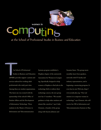women in



women in<br>
Computer in School of Professional Studies in Business and Education L<br>itu

he School of Professional<br>Systems program established a<br>Studies in Business and Education<br>(SPSBE) provides support systems and<br>Association for Women in Cor he School of Professional Studies in Business and Education (SPSBE) provides support systems and services tailored for working adult professionals who study part-time. Among these are student organizations. The latest one was created with the sponsorship of the school's Office of Student Affairs and the Development of Information Technology. Three students in the Master of Science in Information and Telecommunication

Hopkins chapter of the nationwide Association for Women in Computing. Specifically designed to help women at Hopkins to find jobs in the technology field or redirect their technology careers, the new group now has 15 members. "We needed guidance to help other students and alumni like ourselves," says Cathy Clement, a founder of the group along with Suzette Johnson and

Suzanne Innes. The group meets monthly, hears from speakers, networks with IT faculty and industry representatives, and is beginning a mentoring program. It even has its own Web site, [http://](https://www.jhu.edu/) [www.awcjhu.jhu.org](https://www.jhu.edu/). "Our real mission is to empower women in technology," says Clement, who will receive her MS in Information and Telecommunication Systems in May.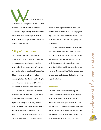The Manual Contract of the Initiative fund-raising c ith the June 2000 conclusion of its Initiative fund-raising campaign, Johns Hopkins became the sixth U.S. university to raise over \$1.5 billion in a single campaign. The Johns Hopkins Initiative raised \$1.52 billion in gifts and commitments, substantially strengthening and stabilizing the Institutions' financial position.

#### Building on Success of Initiative

The Initiative's remarkable success raised for Hopkins a total of \$859.7 million in commitments for endowment and capital projects, as well as \$660.3 million for program support. Of these total funds, \$162.8 million was designated for student aid. Gifts and pledges to Johns Hopkins Medicine comprising the School of Medicine and the Hospital and Health System—accounted for \$703.8 million, 46% of the total committed during the Initiative.

 The Johns Hopkins Initiative drew unprecedented support from more than 100,000 alumni, friends, corporations, foundations, and other organizations. Fiscal year 2000 brought recordsetting cash receipts from private donors—including new gifts and payments on pledges—of \$304 million. This established a new single-year record for cash receipts—up nearly 47% over the previous

year. With continuing this momentum in mind, the Board of Trustees voted to begin a new campaign on July 1, 2000, with a likely duration of seven years. The public announcement of this new campaign is planned for May 2002.

 Given the institutional needs and the opportunities that now exist, the administration will continue to work unceasingly to bring Johns Hopkins the continued support it merits from alumni and friends. Ongoing fund raising continues to focus on priorities of the Johns Hopkins Initiative, while also addressing emerging needs. The top priorities of the last campaign were endowment for student aid and the libraries, as well as support for facilities.

#### **Endowment**

Despite the Initiative's accomplishments, Johns Hopkins' endowment continues to be below that of many peer institutions. At the 1994 start of the Initiative campaign, the Hopkins endowment ranked 20th among U.S. colleges and universities; seven years later, it was 23rd, despite the fact that its endowment had increased from \$600 million to \$1.5 billion. Thus, fund-raising efforts at Johns Hopkins will continue to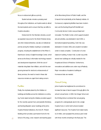focus on endowment gifts as a priority.

 Student aid also remains a pressing need throughout the Institutions, as Hopkins seeks to attract the best students and to ensure that they can afford a Hopkins education.

 Endowment for the Sheridan Libraries, as well as expanded resources for the Welch Medical Library and other divisional libraries, was also an institutional priority during the Initiative resulting in considerable progress, including the establishment of the Milton S. Eisenhower Library's Digital Knowledge Center, which serves as the library's information technology research and development department. With the cost of materials rising faster than inflation, and with the evergrowing demand for electronic enhancements of library services, the need to invest in these vital resources remains an urgent fund-raising concern.

#### **Facilities**

Finally, the emphasis placed by the Initiative on buildings and facilities across the Institutions is continuing. Funds raised during the Initiative provided support for the recently opened Harry and Jeanette Weinberg and Bunting-Blaustein cancer buildings at the Johns Hopkins Medical Institutions, the Anne M. Pinkard Building which provides a permanent home for the School of Nursing, a new research and teaching space with three months remaining in the fiscal year. The 18

at the Bloomberg School of Public Health, and the Griswold Hall recital facility at the Peabody Institute. At Homewood, engineering facilities have been modernized, and the Bunting-Meyerhoff Interfaith and Community Service Center was purchased and renovated. The Mattin Center, which supports student arts and activities, was dedicated in April 2001; a biomedical engineering building, Clark Hall, was dedicated in October 2001; and a student recreation center is nearly complete. Construction of a new classroom building, Hodson Hall, is under way while several new buildings are critically needed for the Hospital and School of Medicine. Furthermore, renovations and additions are under way at Peabody. Major renovations of academic buildings at Homewood also are needed.

#### Annual Giving

Johns Hopkins has heightened its commitment to increase the base of alumni support through gifts to the schools' annual funds. In 2000, the Krieger School and the Whiting School combined their annual giving programs for undergraduate alumni into a single Hopkins Fund, in which both schools invested significant resources. The Hopkins Fund raised nearly \$1.8 million, and surpassed the previous year's total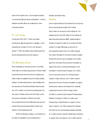

spirit of the Hopkins Fund—and increased emphasis on annual fund gifts and alumni participation—will be a hallmark as similar efforts are organized for other University divisions.

#### FY 2001 Giving

In fiscal year 2001 \$347.7 million was raised including new gifts and payments on pledges—which represents an increase of 14.4% over last year's activity. FY 2001 has yielded many exciting opportunities and developments across the divisions.

#### The Bloomberg School

Most remarkably, an anonymous donor committed \$100 million to the Bloomberg School of Public Health (renamed this year from the School of Hygiene and Public Health) to establish the Johns Hopkins Malaria Institute. The Bloomberg School also benefited from two awards from the Bill and Melinda Gates Foundation: \$21.4 million to promote the development of a new type of measles vaccine and \$20 million to find the precise combination of vitamins and other micronutrients that will most effectively save lives and prevent illness among impoverished mothers and children in the developing world.

 Within the Bioethics Institute, a commitment of \$2 million will establish a new professorship in

Bioethics and Public Policy.

#### **Medicine**

Johns Hopkins Medicine has received from anonymous donors several generous gifts which include \$58.5 million for the launch of the Institute for Cell Engineering (ICE) and \$30 million for the Institute for Basic Biomedical Sciences (IBBS). Additional gifts to Medicine included \$3 million for an endowed Professorship in Urologic Pathology, as well as for an accompanying research fund; a \$3 million bequest from Sarah Hall Sayler for the Johns Hopkins Hospital Endowment and the cancer buildings; a \$2.6 million grant from the Robert Wood Johnson Foundation to support the school's continued participation in the foundation's Clinical Scholars Program; \$2.5 million from an anonymous donor for chemoprotection research in Basic Sciences; a \$2.2 million research award from the Avon Products Foundation to support breast cancer research and treatment for medically underserved women in the Oncology Center; \$2 million to create the Kyle Haydock Professorship in Pediatric Oncology; \$2 million to create a new Professorship in Adult Medicine in support of colon cancer research; a \$2 million bequest from Barbara Flinn Klotz for the new Broadway Research Building; \$1.5 million toward a named Professorship in Medicine to support stem cell research; a \$1.3 million grant for 19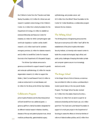the Children's Center from the Theodore and Vada Stanley Foundation; \$1.3 million for clinical care and research in pediatric endocrinology in the Children's Center; \$1.2 million from a family foundation for the Department of Urology; \$1 million to establish an endowed fellowship and Resource Center for Diabetes; \$1 million for ARVD (arrhythmogenic right ventricular dysplasia or sudden cardiac death) research; a \$1 million lead trust for pediatric emergency services; \$1 million for diabetes research; and \$1million to benefit the Center for Avascular Necrosis in the Department of Orthopaedic Surgery.

 The Wilmer Eye Institute announced a generous commitment to support research in genetic and molecular ophthalmology; \$1 million for macular degeneration research; \$1 million to support the Walter J. Stark Corneal Research Fund; \$1 million to create an endowment in corneal diseases; and \$1 million for the library at the Wilmer Eye Institute.

Collaborative Programs

Johns Hopkins Medicine and the Bloomberg School will both benefit from two additional grants: a generous gift from a family foundation designated for six different medical research initiatives: bioethics, diseases of the eye and patient-physician trust, clinical medicine professorship, gastrointestinal surgery, medicine professorship, gastrointestinal surgery, entity reforms in federal welfare policies; and \$1 million from

ophthalmology, and prostate cancer; and \$3.5 million from the Alfred P. Sloan Foundation to the Center for Civilian Biodefense, a collaborative program between the two divisions.

#### The Whiting School

The Whiting School of Engineering announced this fiscal year an anonymous \$10 million "seed" gift for the establishment of the Johns Hopkins Information Security Institute, a University-wide research center to tackle the complex technological, legal, ethical, and public policy challenges of keeping information private and computer systems secure in an increasingly electronic world.

#### The Krieger School

In the Krieger School of Arts & Sciences, an alumnus has committed \$2 million to endow a professorship in modern Jewish history in the new Jewish Studies Program. The Krieger School has also received \$1.7 million from the estate of alumna Dorothy L. Thomson; \$1 million from an alumni couple for an endowed scholarship and the Dean's use; a \$1 million grant from The David and Lucile Packard Foundation in support of a multi-year project in the Department of Sociology to assess the effects on American families of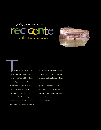# getting a workout at the getting a workout at the<br> **reccent of the Homewood campus**

at the Homewood campus



Reception he Recreation Center, now rising on the south wall of the Newton H. White Athletic Center, will finally put an end to the competition for space between recreation and varsity sports at Homewood. Designed by the Boston firm Sasaki, which specializes in athletics and fitness facilities, the Rec Center's two stories will provide

a fitness center; courts for basketball, volleyball, racquetball, and squash; an indoor track; a climbing wall; and multipurpose spaces for use by such groups as Homewood's several martial arts clubs. The building will also offer space in which concerts, lectures, dinners, and other large events can be held.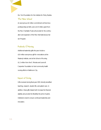the Ford Foundation for the Institute for Policy Studies.

#### The Nitze School

An anonymous \$4 million commitment will fund two professorships at SAIS, and a \$3.9 million grant from the Pew Charitable Trusts will provide for the continuation and expansion of the Pew International Journalism Program.

### Peabody & Nursing

Additional leadership gifts this year include a \$10 million anonymous gift for renovations at the Peabody Institute, and at the School of Nursing \$1.2 million from the E. Rhodes and Leona B. Carpenter Foundation to fund community health nursing efforts in Baltimore City.

#### Impact of Giving

Gifts received during fiscal year 2001 directly benefited teaching, research, student life, and patient care. In addition, these gifts helped both increase the financial stability and provide the flexibility the Johns Hopkins Institutions need to ensure continued leadership and innovation.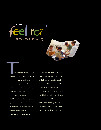



Area Nu available at the present of the order hree Nursing Practice Labs are available at the School of Nursing to provide the student with an opportunity to gain experience and confidence in performing a wide variety of nursing technologies.

> Patient care stations in the laboratories, designed to closely approximate inpatient areas and stocked with necessary supplies, are available for students to practice both basic and advanced nursing

technologies. Practice using actual hospital equipment is an integral part of the laboratory experience and patient simulators are provided to facilitate clinical skill mastery.

Additionally, students receive individual instruction and guidance in the performance of key nursing technologies including vital signs, medication administration, intravenous therapy, and sterile technique.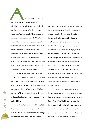A t June 30, 2001, the University's<br>
total invested funds had a market value of total invested funds had a market value of \$2,494 million. The bulk of these funds was held in the Endowment Investment Pool (EIP), which is comprised of assets of some 2,470 separate endowments, each owning shares in the EIP. While the assets of the individual endowments are pooled for investment purposes, each endowment continues to be accounted for individually to ensure proper compliance with donor restrictions. The balance of invested funds is made up of current funds (e.g., working capital, gifts intended for current use, foundation funds, and funds held under deferred compensation agreements) and charitable remainder funds.

 The market value of the EIP at June 30 was \$ 1,820 million, increasing by some \$17 million during the fiscal year from its market value of \$1,803 million at June 30, 2000. This increase in market value reflects the addition of about \$120 million to the EIP, offset by the impact of the protracted decline in the domestic and international equity markets, which began in the spring of 2000.

 The EIP asset allocation for the 2000 and 2001 fiscal years is shown in the accompanying table. The increased allocation to alternative investment strategies reflects actions taken as a result of the Investment

Committee's comprehensive review of asset allocation and long-term strategy for the endowment pool. As a result of that review, the committee decided to increase its allocation to marketable alternative investments, specifically absolute return strategies. Absolute return investing seeks to generate equity-like returns with lower volatility than the equity markets and low correlation with those markets. Absolute return strategies seek to exploit pricing inefficiencies in marketable securities. The current asset allocation reflects the increased allocation to absolute return strategies, effectively doubling the allocation to this asset class at June 30, 2000. The first allocation to the asset class was made in fiscal year 2000. The increased allocation in fiscal year 2001 was funded with net cash inflow to the EIP.

 With respect to non-marketable alternative investments, the review led the committee to increase its target allocation to venture capital and buyout funds, from 10% to 15% of the EIP, recognizing that the higher target allocation will take five to six years to fully implement. In its continuing effort to increase the share of endowment assets allocated to venture capital and buyout funds, the University committed an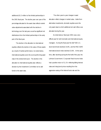

additional \$31.3 million to five limited partnerships in the 2001 fiscal year. The decline year over year of the percentage allocated to the asset class reflects market value adjustments associated with the decline in technology over the last year, as well as significant net distributions from the limited partnerships in the early part of the fiscal year.

 The decline in the allocation to international equities reflects the decline in the value of those assets as a result of market performance. As noted below, international equities were the worst performing asset class in the endowment pool. The decline in the allocation to international equities also reflects a decision by the Investment Committee not to add funds to the asset class.

 The other year-to-year changes in asset allocation reflect changes in market value. Aside from alternative investments, domestic equities were the only asset class to which additional net cash inflow was allocated during the year.

 As noted above, fiscal year 2001 was a very difficult year for both domestic and international equity managers. During the fiscal year the S&P 500 U.S. stock benchmark declined 14.8%, and the MSCI EAFE international stock index declined 23.8%. At the same time, after declining during the first half of the year, the Lehman Government / Corporate Fixed Income Index had a positive return of 11.1% reflecting falling interest rates and rising bond prices resulting from the aggressive easing of the federal funds rate and the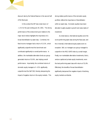discount rate by the Federal Reserve in the second half of the fiscal year.

 In this context the EIP had a total return of –1.1% for the year ending June 30, 2001. The strong performance of the endowment pool relative to the major stock indices highlights the importance of a broad diversification by asset class. Combined, the fixed income managers had a return of 13.3%, which significantly outperformed the benchmark and contributed significantly to overall performance. In addition, the marketable alternative funds as a group generated returns of 10.6%, also helping overall performance. Importantly, the combined returns of domestic equity managers of –4.5% significantly outperformed the S&P 500, thereby dampening the impact of negative returns in the equity markets. This

strong relative performance of the domestic equity portfolio reflects the importance of diversification within an asset class. Domestic equities have been allocated roughly equally to growth and value styles of investment.

 As noted above, international equities were the worst performing asset class during the fiscal year, and the University's international equity assets were no exception. Still, our managers as a group managed to outperform the MSCI EAFE Index by a small margin. Finally, non-marketable alternative investments, that is, venture capital and private equity investments, were the best performing asset class with returns of 31.8%. Effectively, the benefits of broad diversification significantly dampened the negative impact of declining equity markets worldwide.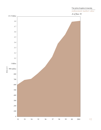

27

The Johns Hopkins University endowment market value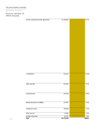#### operating revenues

*Fiscal year ended June 30, 2001(in thousands)*

| <b>Total</b>                             | \$2,178,705      | 100.0%       |
|------------------------------------------|------------------|--------------|
| Other sources<br>Auxiliary enterprises   | 74,084<br>42,703 | 3.4%<br>2.0% |
| Investment income                        | 109,846          | 5.0%         |
| Reimbursements from affiliates           | 132,497          | $6.0\%$      |
|                                          |                  |              |
| Clinical services                        | 194,538          | 8.9%         |
| Tuition and fees                         | 210,452          | 9.7%         |
|                                          |                  |              |
| Contributions                            | 223,627          | 10.3%        |
|                                          |                  |              |
|                                          |                  |              |
|                                          |                  |              |
|                                          |                  |              |
|                                          |                  |              |
| Grants, contracts and similar agreements | \$1,190,958      | 54.7%        |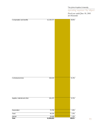The Johns Hopkins University

operating expenses—by object

*Fiscal year ended June 30, 2001 (in thousands)*



29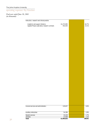The Johns Hopkins University

operating expenses—by function

*Fisal year ended June 30, 2001 (in thousands)*

| Instruction, research and clinical practice                                     |                        |                |
|---------------------------------------------------------------------------------|------------------------|----------------|
| Academic and support divisions<br>Applied Physics Laboratory research contracts | \$1,272,065<br>453,545 | 64.7%<br>23.1% |
|                                                                                 |                        |                |
|                                                                                 |                        |                |
|                                                                                 |                        |                |
|                                                                                 |                        |                |
|                                                                                 |                        |                |
|                                                                                 |                        |                |
|                                                                                 |                        |                |
|                                                                                 |                        |                |
|                                                                                 |                        |                |
|                                                                                 |                        |                |
|                                                                                 |                        |                |
|                                                                                 |                        |                |
|                                                                                 |                        |                |
|                                                                                 |                        |                |
|                                                                                 |                        |                |
|                                                                                 |                        |                |
|                                                                                 |                        |                |
|                                                                                 |                        |                |
|                                                                                 |                        |                |
|                                                                                 |                        |                |
|                                                                                 |                        |                |
| General services and administration                                             | 129,657                | 6.6%           |
|                                                                                 |                        |                |
| Auxiliary enterprises<br>Student services                                       | 54,399                 | 2.8%<br>1.7%   |
| <b>Libraries</b>                                                                | 33,228<br>21,938       | 1.1%           |
|                                                                                 |                        |                |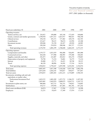#### *1997–2001 (dollars in thousands)* five year financial summary

| Fiscal year ended June 30                                             | 2001          | 2000      | 1999      | 1998      | 1997      |
|-----------------------------------------------------------------------|---------------|-----------|-----------|-----------|-----------|
| Operating revenues:                                                   |               |           |           |           |           |
| Tuition and fees, net                                                 | \$<br>210,452 | 199,808   | 185,144   | 172,419   | 160,806   |
| Grants, contracts and similar agreements:                             | 1,190,958     | 1,057,513 | 1,023,937 | 986,925   | 946,540   |
| Clinical services                                                     | 194,538       | 187,271   | 177,482   | 169,170   | 162,705   |
| Contributions                                                         | 223,627       | 90,125    | 90,674    | 63,994    | 65,388    |
| Investment income                                                     | 109,846       | 91,558    | 82,457    | 69,920    | 64,985    |
| Other                                                                 | 249,284       | 254,924   | 208,946   | 201,717   | 172,911   |
| Total operating revenues                                              | 2,178,705     | 1,881,199 | 1,768,640 | 1,664,145 | 1,573,335 |
| Operating expenses:                                                   |               |           |           |           |           |
| Compensation and benefits                                             | 1,159,727     | 1,051,929 | 966,408   | 926,893   | 881,088   |
| Contractual services                                                  | 418,104       | 377,908   | 386,985   | 379,580   | 344,443   |
| Supplies, materials, and other                                        | 241,475       | 222,407   | 202,812   | 183,274   | 178,865   |
| Depreciation of property and equipment                                | 70,790        | 75,254    | 76,801    | 76,579    | 73,114    |
| Interest                                                              | 28,408        | 25,773    | 26,433    | 30,740    | 30,315    |
| Travel                                                                | 46,328        | 40,896    | 36,501    | 37,516    | 34,251    |
| Total operating expenses                                              | 1,964,832     | 1,794,167 | 1,695,940 | 1,634,582 | 1,542,076 |
| Total assets                                                          | 4,007,693     | 3,817,588 | 3,310,260 | 3,033,766 | 2,802,190 |
| <b>Total liabilities</b>                                              | 1,053,658     | 1,016,145 | 878,037   | 858,877   | 857,847   |
| Total net assets                                                      | 2,954,035     | 2,801,443 | 2,432,223 | 2,174,889 | 1,944,343 |
| Investments, including cash and cash<br>equivalents, at market value: |               |           |           |           |           |
| <b>Endowment Investment Pool</b>                                      | 1,819,555     | 1,803,289 | 1,472,752 | 1,346,255 | 1,107,582 |
| Total                                                                 | 2,493,885     | 2,442,870 | 2,008,879 | 1,834,713 | 1,545,722 |
| Investments in plant assets, net                                      | 908,404       | 832,715   | 781,251   | 758,812   | 754,605   |
| Indebtedness                                                          | 554,717       | 539,958   | 427,683   | 441,781   | 457,242   |
| Head count enrollment (Fall)                                          | 18,074        | 17,967    | 17,996    | 17,279    | 16,500    |
| Employees                                                             | 21,251        | 19,659    | 17,389    | 17,474    | 17,119    |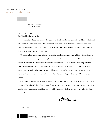#### The Johns Hopkins University independent auditors' report

**KPMG**

111 South Calvert Street Baltimore, MD 21202

The Board of Trustees The Johns Hopkins University:

 We have audited the accompanying balance sheets of The Johns Hopkins University as of June 30, 2001 and 2000 and the related statements of activities and cash flows for the years then ended. These financial statements are the responsibility of the University's management. Our responsibility is to express an opinion on these financial statements based on our audits.

 We conducted our audits in accordance with auditing standards generally accepted in the United States of America. Those standards require that we plan and perform the audit to obtain reasonable assurance about whether the financial statements are free of material misstatement. An audit includes examining, on a test basis, evidence supporting the amounts and disclosures in the financial statements. An audit also includes assessing the accounting principles used and significant estimates made by management, as well as evaluating the overall financial statement presentation. We believe that our audits provide a reasonable basis for our opinion.

 In our opinion, the financial statements referred to above present fairly, in all material respects, the financial position of The Johns Hopkins University as of June 30, 2001 and 2000 and the changes in its net assets and its cash flows for the years then ended in conformity with accounting principles generally accepted in the United States of America.

KPMG LLP

October 1, 2001



KPMG LLP. KPMG LLP, a U.S. limited liability partnership, is a member of KPMG International, a Swiss association.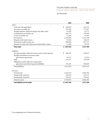## balance sheets—June 30, 2001 and 2000

*(in thousands)*

|                                                          | 2001          | 2000      |
|----------------------------------------------------------|---------------|-----------|
| Assets:                                                  |               |           |
| Cash and cash equivalents                                | \$<br>248,819 | 226,721   |
| Accounts receivable, net                                 | 195,498       | 179,387   |
| Prepaid expenses, deferred charges and other assets      | 41,450        | 25,171    |
| Contributions receivable, net                            | 201,776       | 136,926   |
| Loans receivable, net                                    | 35,648        | 34,585    |
| Investments                                              | 2,245,066     | 2,216,149 |
| Deposits with bond trustees                              | 59,184        | 86,624    |
| Investment in plant assets, net                          | 908,404       | 832,715   |
| Interests in trusts and endowment funds held by others   | 71,848        | 79,310    |
| <b>Total assets</b>                                      | \$4,007,693   | 3,817,588 |
| Liabilities:                                             |               |           |
| Accounts payable, deferred revenues and accrued expenses | \$<br>266,159 | 226,693   |
| Payables and deferred revenues under                     |               |           |
| split interest agreements                                | 54,535        | 52,676    |
| Debt                                                     | 554,717       | 539,958   |
| Obligations under deferred compensation                  |               |           |
| agreements and other long-term liabilities               | 178,247       | 196,818   |
| <b>Total liabilities</b>                                 | 1,053,658     | 1,016,145 |
| Net assets:                                              |               |           |
| Unrestricted                                             | 1,828,524     | 1,846,706 |
| Temporarily restricted                                   | 342,874       | 224,572   |
| Permanently restricted                                   | 782,637       | 730,165   |
| Total net assets                                         | 2,954,035     | 2,801,443 |
| Total liabilities and net assets                         | \$4,007,693   | 3,817,588 |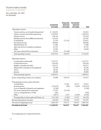#### The Johns Hopkins University

#### statement of activities

*Year ended June 30, 2001 (in thousands)*

|                                                | <b>Unrestricted</b><br><b>Net Assets</b> | Temporarily<br><b>Restricted</b><br><b>Net Assets</b> | Permanently<br><b>Restricted</b><br><b>Net Assets</b> | Total      |
|------------------------------------------------|------------------------------------------|-------------------------------------------------------|-------------------------------------------------------|------------|
| Operating revenues:                            |                                          |                                                       |                                                       |            |
| Tuition and fees, net of student financial aid | S.<br>210,452                            |                                                       |                                                       | 210,452    |
| Grants, contracts and similar agreements       | 1,190,958                                |                                                       |                                                       | 1,190,958  |
| Clinical services                              | 194,538                                  |                                                       |                                                       | 194,538    |
| Reimbursements from affiliated institutions    | 132,497                                  |                                                       |                                                       | 132,497    |
| Contributions                                  | 51,393                                   | 172,234                                               |                                                       | 223,627    |
| Investment income                              | 109,846                                  |                                                       |                                                       | 109,846    |
| Maryland State aid                             | 17,680                                   |                                                       |                                                       | 17,680     |
| Sales and services of auxiliary enterprises    | 42,703                                   |                                                       |                                                       | 42,703     |
| Other                                          | 56,404                                   |                                                       |                                                       | 56,404     |
| Net assets released from restrictions          | 51,441                                   | (51, 441)                                             |                                                       |            |
| Total operating revenues                       | 2,057,912                                | 120,793                                               | $\blacksquare$                                        | 2,178,705  |
| Operating expenses:                            |                                          |                                                       |                                                       |            |
| Compensation and benefits                      | 1,159,727                                |                                                       |                                                       | 1,159,727  |
| Contractual services                           | 418,104                                  |                                                       |                                                       | 418,104    |
| Supplies, materials and other                  | 241,475                                  |                                                       |                                                       | 241,475    |
| Depreciation of property and equipment         | 70,790                                   |                                                       |                                                       | 70,790     |
| Travel                                         | 46,328                                   |                                                       |                                                       | 46,328     |
| Interest                                       | 28,408                                   |                                                       |                                                       | 28,408     |
| Total operating expenses                       | 1,964,832                                |                                                       |                                                       | 1,964,832  |
| Excess of operating revenues over expenses     | 93,080                                   | 120,793                                               |                                                       | 213,873    |
| Nonoperating revenues, gains and losses:       |                                          |                                                       |                                                       |            |
| Contributions                                  |                                          | 23,461                                                | 59,352                                                | 82,813     |
| Investment loss                                | (131, 033)                               | (502)                                                 | (5,024)                                               | (136, 559) |
| Loss on disposals of property and equipment    | (2,368)                                  |                                                       |                                                       | (2,368)    |
| Net assets released from restrictions          | 27,595                                   | (27, 595)                                             |                                                       |            |
| Loss on extinguishment of debt                 | (585)                                    |                                                       |                                                       | (585)      |
| Other                                          | (4, 871)                                 | 2,145                                                 | (1, 856)                                              | (4, 582)   |
| Nonoperating revenues, gains and losses, net   | (111, 262)                               | (2, 491)                                              | 52,472                                                | (61, 281)  |
| Increase (decrease) in net assets              | (18, 182)                                | 118,302                                               | 52,472                                                | 152,592    |
| Net assets at beginning of year                | 1,846,706                                | 224,572                                               | 730,165                                               | 2,801,443  |
| Net assets at end of year                      | \$1,828,524                              | 342,874                                               | 782,637                                               | 2,954,035  |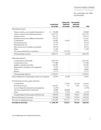statement of activities

*Year ended June 30, 2000 (in thousands)*

|                                                         | Unrestricted<br><b>Net Assets</b> | Temporarily<br><b>Restricted</b><br><b>Net Assets</b> | Permanently<br><b>Restricted</b><br><b>Net Assets</b> | Total     |
|---------------------------------------------------------|-----------------------------------|-------------------------------------------------------|-------------------------------------------------------|-----------|
| Operating revenues:                                     |                                   |                                                       |                                                       |           |
| Tuition and fees, net of student financial aid          | \$<br>199,808                     |                                                       |                                                       | 199,808   |
| Grants, contracts and similar agreements                | 1,057,513                         |                                                       |                                                       | 1,057,513 |
| Clinical services                                       | 187,271                           |                                                       |                                                       | 187,271   |
| Reimbursements from affiliated institutions             | 123,433                           |                                                       | $\blacksquare$                                        | 123,433   |
| Contributions                                           | 66,487                            | 23,638                                                |                                                       | 90,125    |
| Investment income                                       | 91,558                            |                                                       |                                                       | 91,558    |
| Maryland State aid                                      | 15,477                            |                                                       |                                                       | 15,477    |
| Sales and services of auxiliary enterprises             | 44,724                            |                                                       |                                                       | 44,724    |
| Other                                                   | 71,290                            |                                                       |                                                       | 71,290    |
| Net assets released from restrictions                   | 25,756                            | (25,756)                                              |                                                       |           |
| Total operating revenues                                | 1,883,317                         | (2,118)                                               | $\blacksquare$                                        | 1,881,199 |
| Operating expenses:                                     |                                   |                                                       |                                                       |           |
| Compensation and benefits                               | 1,051,929                         |                                                       |                                                       | 1,051,929 |
| Contractual services                                    | 377,908                           |                                                       |                                                       | 377,908   |
| Supplies, materials and other                           | 222,407                           |                                                       |                                                       | 222,407   |
| Depreciation of property and equipment                  | 75,254                            |                                                       |                                                       | 75,254    |
| Travel                                                  | 40,896                            |                                                       |                                                       | 40,896    |
| Interest                                                | 25,773                            |                                                       |                                                       | 25,773    |
| Total operating expenses                                | 1,794,167                         |                                                       |                                                       | 1,794,167 |
| Excess (deficiency) of operating revenues over expenses | 89,150                            | (2,118)                                               |                                                       | 87,032    |
| Nonoperating revenues, gains and losses:                |                                   |                                                       |                                                       |           |
| Contributions                                           |                                   | 33,528                                                | 82,124                                                | 115,652   |
| Investment income                                       | 164,361                           | 733                                                   | 7,031                                                 | 172,125   |
| Loss on disposals of property and equipment             | (3,292)                           |                                                       |                                                       | (3,292)   |
| Net assets released from restrictions                   | 36,600                            | (36,600)                                              |                                                       |           |
| Other                                                   | (3,211)                           | (2,744)                                               | 3,658                                                 | (2, 297)  |
| Nonoperating revenues, gains and losses, net            | 194,458                           | (5,083)                                               | 92,813                                                | 282,188   |
| Increase (decrease) in net assets                       | 283,608                           | (7,201)                                               | 92,813                                                | 369,220   |
| Net assets at beginning of year                         | 1,563,098                         | 231,773                                               | 637,352                                               | 2,432,223 |
| Net assets at end of year                               | \$1,846,706                       | 224,572                                               | 730,165                                               | 2,801,443 |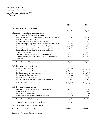## The Johns Hopkins University

### statements of cash flows

 $\mathcal{S}$  statements of  $\mathcal{S}$ *Years ended June 30, 2001 and 2000 (in thousands)*

|                                                                                                                                | 2001          | 2000        |
|--------------------------------------------------------------------------------------------------------------------------------|---------------|-------------|
| Cash flows from operating activities:                                                                                          |               |             |
| Increase in net assets                                                                                                         | 152,592<br>\$ | 369,220     |
| Adjustments to reconcile increase in net assets                                                                                |               |             |
| to net cash provided by operating activities:                                                                                  |               |             |
| Depreciation and loss on disposals of property and equipment                                                                   | 73,158        | 78,546      |
| Loss on extinguishment of debt                                                                                                 | 585           |             |
| Decrease (increase) in accounts receivable, net                                                                                | (16, 111)     | 37,027      |
| Increase in prepaid expenses, deferred charges and other assets                                                                | (16,279)      | (8,359)     |
| Decrease (increase) in contributions receivable, net                                                                           | (64, 850)     | 36,967      |
| Increase in accounts payable, deferred revenues and accrued expenses<br>Increase in payables and deferred revenues under split | 40,612        | 1,490       |
| interest agreements                                                                                                            | 1,859         | 7,697       |
| Contributions restricted for long-term investment                                                                              | (86,975)      | (142,996)   |
| Net realized and unrealized (gains) losses from investments                                                                    | 96,015        | (202, 913)  |
| Other, net                                                                                                                     | 21            | 1,265       |
| Net cash provided by operating activities                                                                                      | 180,627       | 177,944     |
| Cash flows from investing activities:                                                                                          |               |             |
| Purchases of investments                                                                                                       | (1,996,016)   | (2,603,490) |
| Proceeds from sales and maturities of investments                                                                              | 1,878,546     | 2,495,333   |
| Purchases of property and equipment                                                                                            | (149,993)     | (126, 557)  |
| Disbursements for student loans                                                                                                | (5,600)       | (5,282)     |
| Repayments of student loans                                                                                                    | 4,636         | 4,278       |
| Decrease (increase) in deposits with bond trustees, net                                                                        | 27,440        | (83,002)    |
| Net cash used by investing activities                                                                                          | (240,987)     | (318, 720)  |
| Cash flows from financing activities:                                                                                          |               |             |
| Contributions restricted for long-term investment                                                                              | 86,975        | 142,996     |
| Proceeds from borrowings                                                                                                       | 71,372        | 127,560     |
| Repayments of borrowings                                                                                                       | (57,318)      | (15, 450)   |
| Increase (decrease) in other long-term liabilities                                                                             | (18, 571)     | 13,193      |
| Net cash provided by financing activities                                                                                      | 82,458        | 268,299     |
| Net increase in cash and cash equivalents                                                                                      | 22,098        | 127,523     |
| Cash and cash equivalents at beginning of year                                                                                 | 226,721       | 99,198      |
| Cash and cash equivalents at end of year                                                                                       | 248,819<br>\$ | 226,721     |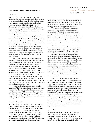#### **(1) Summary of Significant Accounting Policies**

#### *(a) General*

Johns Hopkins University is a private, nonprofit institution that provides education and related services to students and others, research and related services to sponsoring organizations and professional medical services to patients. The University is based in Baltimore, Maryland, but also maintains facilities and operates education programs elsewhere in Maryland, in Washington, D.C. and, on a more limited scale, in certain foreign locations.

Education and related services (e.g., room, board, etc.) are provided to approximately 19,000 students, including 10,200 full-time students and 8,800 part-time students, and produce about 12% of the University's operating revenues. The full-time students are divided about equally between graduate level (including postdoctoral) and undergraduate level. Students are drawn from a broad geographic area, including most of the states in the United States and numerous foreign countries. The majority of the part-time students are graduate level students from the Baltimore-Washington, D.C. area.

Research and related services (e.g., research training) are provided to more than 1,340 government and private sponsors. Grants, contracts and similar agreements produce about 55% of the University's operating revenues. Approximately 90% of the revenues from research services come from departments and agencies of the United States Government. Major government sponsors include the Department of Health and Human Services, the Department of Defense, the National Aeronautics and Space Administration and the Agency for International Development; these sponsors provided approximately 36%, 33%, 8% and 8%, respectively, of revenues from grants, contracts and similar agreements in 2001.

Professional medical services are provided by members of the University's faculty to patients at Johns Hopkins Hospital and other hospitals and outpatient care facilities in the Baltimore area and produce about 9% of the University's operating revenues. The patients are predominantly from the Baltimore area, other parts of Maryland or surrounding states.

#### *(b) Basis of Presentation*

The financial statements include the accounts of the various academic and support divisions, the Applied Physics Laboratory (APL), the Johns Hopkins University Press and affiliated organizations which are controlled by the University, including JHPIEGO Corporation, Peabody Institute of the City of Baltimore and the Fund for Johns Hopkins Medicine. Investments in organizations which the University does not control, including Dome Corporation, Johns

Hopkins Healthcare LLC and Johns Hopkins Home Care Group, Inc., are accounted for using the equity method. Certain amounts for 2000 have been reclassified to conform to the presentation for 2001.

The preparation of financial statements in conformity with accounting principles generally accepted in the United States of America requires management to make estimates and judgments that affect the reported amounts of assets and liabilities and disclosures of contingencies at the date of the financial statements and revenues and expenses recognized during the reporting period. Actual results could differ from those estimates.

Net assets, revenues and gains and losses are classified based on the existence or absence of donorimposed restrictions. Accordingly, net assets of the University are classified and reported as follows:

*Permanently restricted*—Net assets subject to donor-imposed stipulations that they be maintained permanently by the University. Generally, the donors of these assets permit the University to use all or part of the income earned on related investments for general or specific purposes, primarily divisional and departmental support and student financial aid.

*Temporarily restricted*—Net assets subject to donor-imposed stipulations that may or will be met by actions of the University and/or the passage of time.

*Unrestricted*—Net assets that are not subject to donor-imposed stipulations.

Revenues are reported as increases in unrestricted net assets unless the use of the related assets is limited by donor-imposed restrictions. Expenses are reported as decreases in unrestricted net assets. Gains and losses on investments are reported as increases or decreases in unrestricted net assets unless their use is restricted by explicit donor stipulations or by law. Expirations of temporary restrictions recognized on net assets (i.e., the donor-stipulated purpose has been fulfilled and/or the stipulated time period has elapsed) are reported as reclassifications from temporarily restricted net assets to unrestricted net assets. Temporary restrictions on gifts to acquire long-lived assets are considered met in the period in which the assets are acquired or placed in service.

#### *(c) Contributions*

Contributions, including unconditional promises to give, are recognized as revenues in the appropriate category of net assets in the period received, except that contributions which impose restrictions that are met in same fiscal year they are received are included in

#### The Johns Hopkins University notes to financial statements

*June 30, 2001 and 2000*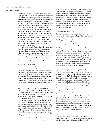#### notes to financial statements

*June 30, 2001 and 2000*

unrestricted revenues. Contributions received for capital projects or perpetual or term endowment funds and contributions under split interest agreements or perpetual trusts are reported as nonoperating revenues. All other contributions are reported as operating revenues. Changes in the nature of any restrictions on contributions due to amendments to agreements with donors are recognized by adjusting operating and nonoperating contribution revenues in the period in which the amendments are approved. Conditional promises to give are not recognized until the conditions on which they depend are substantially met. Contributions of assets other than cash are recorded at their estimated fair value at the date of gift, except that contributions of works of art, historical treasures and similar assets held as part of collections are not recognized or capitalized.

Allowance is made for uncollectible contributions receivable based upon management's judgment and analysis of the creditworthiness of the donors, past collection experience and other relevant factors. Estimated collectible contributions to be received after one year are discounted using a risk-free rate for the expected period of collection. Amortization of the discount is recorded as additional contribution revenue.

#### *(d) Cash and Cash Equivalents*

Short-term investments with maturities at dates of purchase of three months or less are classified as cash equivalents, except that any such investments purchased with funds on deposit with bond trustees, with funds held in trusts by others or by external endowment investment managers are classified with the applicable assets. Cash equivalents include short-term U.S. Treasury securities and other highly liquid investments and are carried at cost which approximates fair value.

#### *(e) Investments*

Investments are stated at their fair values which are generally determined based on quoted market prices or estimates provided by external investment managers or other independent sources. In the limited cases where such values are not available, historical cost is used as an estimate of fair value.

Assets of pooled endowment and similar funds are invested on the basis of a total return policy to provide income and to realize appreciation in investment values. Realized investment gains of these funds may be used to support operations provided that the funds have market values in excess of their historical values. The endowment investment pool payout was approximately 4.5% of average market values in 2001 and 2000.

Investment income included in operating revenues consists of income and realized gains and losses on investments of working capital and nonpooled endowment funds (except where restricted by donors) and the annual appropriation of income and realized gains for pooled endowment and similar funds approved by the Board of Trustees. All unrealized gains and losses, any difference between the income and realized gains earned and the appropriated amount for pooled endowment and similar funds and income and realized gains restricted by donors are reported as nonoperating revenues.

#### *(f) Investment in Plant Assets*

Investments in plant assets are stated at cost or at estimated fair value if acquired by gift, less accumulated depreciation and amortization. Depreciation of buildings, equipment and library collections and amortization of leasehold improvements are computed using the straight-line method over the estimated useful lives of the assets. Land and certain historic buildings are not subject to depreciation. Title to certain equipment purchased using funds provided by government sponsors is vested in the University. Such equipment is included in investment in plant assets. Certain facilities and equipment used by the APL in connection with its performance under agreements with the United States Government are owned by the government. These facilities and equipment are not included in the balance sheet; however, the University is accountable to the government for them.

#### *(g) Split Interest Agreements and Perpetual Trusts*

The University's split interest agreements with donors consist primarily of irrevocable charitable remainder trusts for which the University serves as trustee. Assets held in these trusts are included in investments. Contribution revenues are recognized at the date the trusts are established after recording liabilities for the present value of the estimated future payments to be made to the donors and/or other beneficiaries. The liabilities are adjusted during the terms of the trusts for changes in the values of the assets, accretion of the discounts and other changes in estimates of future benefits.

The University is also the beneficiary of certain perpetual trusts held and administered by others. The present values of the estimated future cash receipts from the trusts are recognized as assets and contribution revenues at the dates the trusts are established. Distributions from the trusts are recorded as contributions and the carrying value of the assets is adjusted for changes in estimates of future receipts.

#### *(h) Insurance*

The University, together with other institutions, has formed captive insurance companies which arrange and provide professional liability, general liability and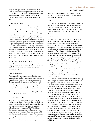property damage insurance for their shareholders. Defined portions of claims paid by these companies are self-insured. The University's annual payments to the companies for insurance coverage are based on actuarial studies and are included in operating expenses.

#### *(i) Affiliated Institutions*

The University has separate administrative agreements for the exchange of services with Johns Hopkins Hospital (Hospital) and other medical and educational institutions. Costs incurred by the University in providing services to these institutions and the related reimbursements are reported as operating expenses and revenues, respectively, in the appropriate object and source classifications. Costs incurred by the University for services provided by these institutions are reported as operating expenses in the appropriate classifications.

The University holds and manages endowment and similar funds which were designated by the donors for purposes or activities that are carried out by the Hospital. These funds are included in investments and other long-term liabilities. The liabilities are adjusted for earnings from and changes in the fair values of the investments.

#### *(j) Fair Values of Financial Instruments*

Fair values of financial instruments approximate their carrying values in the financial statements, except for indebtedness for which fair value information is provided in note 7.

#### *(k) Sponsored Projects*

Revenues under grants, contracts and similar agreements with sponsoring organizations are recognized as expenditures are incurred for agreement purposes. These revenues include recoveries of facilities and administrative costs which are generally determined as a negotiated or agreed-upon percentage of direct costs, with certain exclusions. Facilities and administrative cost recovery revenues for the academic and support divisions of the University were \$170,669,000 in 2001 and \$150,958,000 in 2000.

#### *(l) Student Financial Aid*

The University provides financial aid to eligible students, generally in a "package" that includes loans, compensation under work-study programs and/or grant and scholarship awards. The loans are provided primarily through programs of the United States Government (including direct and guaranteed loan programs) under which the University is responsible only for certain administrative duties. The grants and scholarships include awards provided from gifts and grants from private donors, income earned on endowment funds restricted for student aid and general funds.

Grant and scholarship awards were \$96,644,000 in 2001 and \$89,963,000 in 2000 and are netted against tuition and fees revenues.

#### *(m) Income Taxes*

The University is qualified as a not-for-profit organization under section 501(c)(3) of the Internal Revenue Code, as amended. Accordingly, it is not subject to income taxes except to the extent it has taxable income from businesses that are not related to its exempt purpose.

#### *(n) Derivative Financial Instruments*

Effective July 1, 2000, the University adopted Statement of Financial Accounting Standards No. 133, *Accounting for Derivative Instruments and Hedging Activities*. This Statement requires that all derivatives be measured at fair value and that they be recognized in the balance sheet as assets or liabilities. There was no cumulative effect at July 1, 2000 of adoption of this Statement as all of the derivative instruments held by the University at that date (consisting of futures and forward currency contracts) were stated at fair value in accordance with the applicable authoritative guidance. The effect of adoption in 2001, relating to the accounting for an interest rate swap agreement entered into in April 2001, was not material.

The University's external investment managers are authorized to use specified derivative financial instruments, including futures and forward currency contracts, in managing the assets under their control, subject to restrictions and limitations adopted by the Board of Trustees.

Futures contracts, which are commitments to buy or sell designated financial instruments at a future date for a specified price, may be used to adjust asset allocation, neutralize options in securities or construct a more efficient portfolio. The managers have made limited use of exchange-traded interest rate futures contracts. Margin requirements are met in cash; however, the managers settle their positions on a net basis and, accordingly, the cash requirements are substantially less than the contract amounts. Forward currency contracts, which are agreements to exchange designated currencies at a future date at a specified rate, may be used to hedge currency exchange risk associated with investments in fixed-income securities denominated in foreign currencies and investments in equity securities traded in foreign markets. The managers settle these contracts on a net basis and, accordingly, the cash requirements are substantially less than the contract amounts. Changes in the market value of the futures and forward currency contracts are included in investment income and were not significant in 2001 and 2000.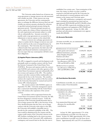The University makes limited use of interest rate swap agreements to manage interest rate risk associated with variable rate debt. Under interest rate swap agreements, the University and the counterparties agree to exchange the difference between fixed rate and variable rate interest amounts calculated by reference to specified notional principal amounts during the agreement period. Notional principal amounts are used to express the volume of these transactions, but the cash requirements and amounts subject to credit risk are substantially less. Amounts receivable or payable under swap agreements are accounted for as adjustments to interest expense on the related debt.

Parties to interest rate exchange agreements are subject to market risk for changes in interest rates and risk of credit loss in the event of nonperformance by the counterparty. The University does not require any collateral under these agreements, but deals only with highly rated financial institution counterparties and does not expect that any counterparties will fail to meet their obligations.

#### **(2) Applied Physics Laboratory (APL)**

The APL is engaged in research and development work principally under an omnibus contract with the Naval Sea Systems Command of the United States Navy (NAVSEA). Revenues and expenses under the contract with NAVSEA and contracts with other agencies of the United States Government represent substantially all of the revenues and expenses of the APL. The omnibus contract and other contracts define reimbursable costs and provide for fees to the University. The omnibus contract also requires that a portion of the fees earned by the University thereunder be retained and used for various APL-related purposes.

The current contract with NAVSEA expires on September 30, 2002. University management expects that a contractual relationship with the United States Navy will continue after expiration of the current contract.

In accordance with an agreement between the United States Government and the University, the APL has been designated a national resource. Under the agreement, if the University should determine that is can no longer sponsor the APL or the Secretary of the Navy should determine that the Navy can no longer contract with the University with respect to the APL, the University will establish a charitable trust to provide for the continued availability of the APL. The trust would be administered by five trustees and the corpus would consist of the University's interest in the APL facilities, including land to the extent necessary, and the balances in the University's APL stabilization, contingency and research fund on the date the trust is

established, less certain costs. Upon termination of the trust, the corpus, in whole or in part, would be returned to and held and used by the University for such educational or research purposes and in such manner as the trustees and University agree.

The APL stabilization, contingency and research fund is included in unrestricted net assets and was approximately \$209,046,000 and \$195,586,000 at June 30, 2001 and 2000, respectively, including net investments in property and equipment of \$92,390,000 and \$89,011,000, respectively. At June 30, 2001, APL purchase and subcontract commitments were approximately \$62,000,000.

#### **(3) Accounts Receivable**

Accounts receivable, net, are summarized as follows at June 30 (in thousands):

|                                    | 200 I             | 2000    |
|------------------------------------|-------------------|---------|
| Reimbursement of costs incurred    |                   |         |
| under grants and contracts         | \$109,870 106,033 |         |
| Affiliated institutions, primarily |                   |         |
| Johns Hopkins Hospital             | 18,885            | 12,896  |
| Students and others                | 32,872            | 22,960  |
| Total research and training,       |                   |         |
| less allowances of \$23,783 in     |                   |         |
| 2001 and \$14,809 in 2000          | 161,627           | 141,889 |
| Medical services to patients,      |                   |         |
| less allowances of \$46,470 in     |                   |         |
| 2001 and \$49,800 in 2000          | 33,871            | 37,498  |
|                                    | \$195.498         | 179,387 |

#### **(4) Contributions Receivable**

Contributions receivable, net, are summarized as follows at June 30 (in thousands):

|                               | 200 I        | 2000    |
|-------------------------------|--------------|---------|
| Unconditional promises        |              |         |
| scheduled to be collected in: |              |         |
| Less than one year            | 66,613<br>S. | 42,335  |
| One year to five years        | 139,918      | 103,580 |
| Over five years               | 34,346       | 32,680  |
|                               | 240,877      | 178,595 |
| Less unamortized discount and |              |         |
| allowance for uncollectible   |              |         |
| contributions                 | 39,101       | 41,669  |
|                               | \$201.776    | 136.926 |

At June 30, 2001, approximately 57% of the gross contributions receivable were due from ten donors. At June 30, 2000, approximately 30% of the gross contributions receivable were due from eleven donors. Approximately 66% and 29% of contribution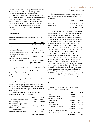revenues for 2001 and 2000, respectively, were from ten donors. At June 30, 2001, the University had also received bequest intentions of approximately \$85,675,000 and certain other conditional promises to give. These intentions and conditional promises to give are not recognized as assets and, if they are received, they will generally be restricted for specific purposes stipulated by the donors, primarily endowments for faculty support, scholarships or general operating support of a particular department or division of the University.

#### **(5) Investments**

Investments are summarized as follows at June 30 (in thousands):

|                                    | <b>2001</b>           | 2000                |
|------------------------------------|-----------------------|---------------------|
| Cash and short-term investments \$ | 103,017               | 66,299              |
| United States Government and       |                       |                     |
| agency obligations                 | 329,098               | 341,537             |
| Other debt securities              | 352,225               | 266,454             |
| Common and preferred stocks        |                       | 1,075,899 1,203,407 |
| Limited partnership and similar    |                       |                     |
| interests                          | 259,405               | 209,118             |
| Mortgages and notes receivable     |                       |                     |
| and other investments              | 125,422               | 129,334             |
|                                    | \$2,245,066 2,216,149 |                     |

Investments are professionally managed, primarily by outside investment organizations, subject to direction and oversight by a committee of the Board of Trustees. The Board has established investment policies and guidelines which cover asset allocation and performance objectives and impose various restrictions and limitations on the managers. These restrictions and limitations are specific to each asset classification and cover concentrations of market risk (at both the individual issuer and industry group levels), credit quality of fixedincome and short-term investments, use of derivative securities, investments in foreign securities and various other matters.

Investment income is summarized as follows for the years ended June 30 (in thousands):

|                                  | <b>2001</b> | 2000    |
|----------------------------------|-------------|---------|
| Dividend and interest income     | \$78,036    | 65,404  |
| Net realized gains               | 66,995      | 108,067 |
| Net unrealized appreciation      |             |         |
| (depreciation)                   | (163, 010)  | 94,846  |
| Increase (decrease) in interests |             |         |
| in perpetual trusts              | (1, 423)    | 2,954   |
| Investment management fees       | (7,311)     | (7,588) |
|                                  | \$(26,713)  | 263,683 |

*June 30, 2001 and 2000*

Investment income is classified in the statements of activities as follows for the years ended June 30 (in thousands):

|              | <b>2001</b>          | 2000 |
|--------------|----------------------|------|
| Operating    | $$109,846$ 91,558    |      |
| Nonoperating | $(136, 559)$ 172,125 |      |
|              | \$ (26,713) 263,683  |      |

At June 30, 2001 and 2000, assets of endowment and similar funds, including cash and cash equivalents and investments, amounted to \$1,760,356,000 and \$1,787,752,000, respectively. Substantially all assets of endowment and similar funds and certain other assets are combined in a common investment pool known as the Endowment Investment Pool (EIP). Purchases and disposals of shares in the EIP are made based on the market value per share at the end of the quarter during which the transaction takes place. At June 30, 2001 and 2000, assets of the EIP, including cash and cash equivalents and investments, amounted to \$1,819,555,000 and \$1,803,289,000, respectively.

At June 30, 2001 and 2000, other investments include \$89,498,000 and \$106,860,000, respectively, of investments held by the University under deferred compensation agreements. Such amounts approximate the University's related liabilities to employees which are included in obligations under deferred compensation agreements and other long-term liabilities. At June 30, 2001, investments having a fair value of \$9,270,000 were pledged as security for the payment of unemployment claims. At June 30, 2001, commitments for purchases of investments were approximately \$81,437,000.

#### **(6) Investment in Plant Assets**

Investment in plant assets, net, is summarized as follows at June 30 (in thousands):

|                               | <b>2001</b>  | 2000      |
|-------------------------------|--------------|-----------|
| Land                          | \$<br>35,346 | 35,077    |
| Land improvements             | 16,176       | 15,573    |
| Buildings and leasehold       |              |           |
| improvements                  | 1,014,379    | 959,587   |
| Equipment                     | 358,808      | 336,226   |
| Library collections           | 124,294      | 114,474   |
| Construction in progress      | 85,451       | 48,257    |
|                               | 1,634,454    | 1,509,194 |
| Less accumulated depreciation |              |           |
| and amortization              | 726,050      | 676,479   |
|                               | 908,404      | 832.715   |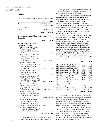#### **(7) Debt**

Debt is summarized as follows at June 30 (in thousands):

|                          | <b>2001</b>       | 2000            |
|--------------------------|-------------------|-----------------|
| Bonds payable            | \$292,941 303,163 |                 |
| Notes payable            |                   | 181,776 205,400 |
| Commercial paper revenue |                   |                 |
| notes                    |                   | 80,000 31,395   |
|                          | \$554,717 539,958 |                 |

Bonds payable consist of the following at June 30 (in thousands):

| Maryland Health and Higher<br>Authority (MHHEFA) issues:<br>Revenue Bonds of 1979,<br>5.40% to 6.40%, due January<br>\$<br>2009<br>3,425<br>Revenue Bonds of 1983, 6.00%<br>to 9.88%, due July 2013,net<br>of unamortized discount of<br>\$1,100 and \$1,316<br>8,455<br>27,570<br>Revenue Bonds of 1985<br>(APL/STScI Project), 67.22%<br>of prime interest rate, due<br>October 2000<br>83<br>Revenue Bonds of 1985, 73.32%<br>of prime interest rate, due<br>January 2001<br>730<br>Refunding Revenue Bonds of<br>1997, 4.50% to 5.625%, due<br>July 2027, net of unamortized<br>discount of \$230 and \$233<br>14,035<br>14,282<br>Refunding Revenue Bonds of<br>1998, 5.125% to 6.00%, due<br>July 2020, including unamor-<br>tized premium of \$533 and \$580<br>174,173 181,160<br>Revenue Bonds of 1999, 6%,<br>due July 2039, net of unamor-<br>tized discount of \$2,043 and<br>\$2,057<br>75,762<br>75,748<br>Refunding Revenue Bonds<br>of 2001A, 4.00% to 5.00%,<br>due July 2013, including<br>unamortized premium of \$616<br>20,516<br>Parking Serial Bonds, Series A,<br>4.26%, due October 2009<br>165 |                                | 200 I     | 2000    |
|--------------------------------------------------------------------------------------------------------------------------------------------------------------------------------------------------------------------------------------------------------------------------------------------------------------------------------------------------------------------------------------------------------------------------------------------------------------------------------------------------------------------------------------------------------------------------------------------------------------------------------------------------------------------------------------------------------------------------------------------------------------------------------------------------------------------------------------------------------------------------------------------------------------------------------------------------------------------------------------------------------------------------------------------------------------------------------------------------------------------------|--------------------------------|-----------|---------|
|                                                                                                                                                                                                                                                                                                                                                                                                                                                                                                                                                                                                                                                                                                                                                                                                                                                                                                                                                                                                                                                                                                                          |                                |           |         |
|                                                                                                                                                                                                                                                                                                                                                                                                                                                                                                                                                                                                                                                                                                                                                                                                                                                                                                                                                                                                                                                                                                                          | <b>Educational Facilities</b>  |           |         |
|                                                                                                                                                                                                                                                                                                                                                                                                                                                                                                                                                                                                                                                                                                                                                                                                                                                                                                                                                                                                                                                                                                                          |                                |           |         |
|                                                                                                                                                                                                                                                                                                                                                                                                                                                                                                                                                                                                                                                                                                                                                                                                                                                                                                                                                                                                                                                                                                                          |                                |           |         |
|                                                                                                                                                                                                                                                                                                                                                                                                                                                                                                                                                                                                                                                                                                                                                                                                                                                                                                                                                                                                                                                                                                                          |                                |           |         |
|                                                                                                                                                                                                                                                                                                                                                                                                                                                                                                                                                                                                                                                                                                                                                                                                                                                                                                                                                                                                                                                                                                                          |                                |           |         |
|                                                                                                                                                                                                                                                                                                                                                                                                                                                                                                                                                                                                                                                                                                                                                                                                                                                                                                                                                                                                                                                                                                                          |                                |           |         |
|                                                                                                                                                                                                                                                                                                                                                                                                                                                                                                                                                                                                                                                                                                                                                                                                                                                                                                                                                                                                                                                                                                                          |                                |           |         |
|                                                                                                                                                                                                                                                                                                                                                                                                                                                                                                                                                                                                                                                                                                                                                                                                                                                                                                                                                                                                                                                                                                                          |                                |           |         |
|                                                                                                                                                                                                                                                                                                                                                                                                                                                                                                                                                                                                                                                                                                                                                                                                                                                                                                                                                                                                                                                                                                                          |                                |           |         |
|                                                                                                                                                                                                                                                                                                                                                                                                                                                                                                                                                                                                                                                                                                                                                                                                                                                                                                                                                                                                                                                                                                                          |                                |           |         |
|                                                                                                                                                                                                                                                                                                                                                                                                                                                                                                                                                                                                                                                                                                                                                                                                                                                                                                                                                                                                                                                                                                                          |                                |           |         |
|                                                                                                                                                                                                                                                                                                                                                                                                                                                                                                                                                                                                                                                                                                                                                                                                                                                                                                                                                                                                                                                                                                                          |                                |           |         |
|                                                                                                                                                                                                                                                                                                                                                                                                                                                                                                                                                                                                                                                                                                                                                                                                                                                                                                                                                                                                                                                                                                                          |                                |           |         |
|                                                                                                                                                                                                                                                                                                                                                                                                                                                                                                                                                                                                                                                                                                                                                                                                                                                                                                                                                                                                                                                                                                                          |                                |           |         |
|                                                                                                                                                                                                                                                                                                                                                                                                                                                                                                                                                                                                                                                                                                                                                                                                                                                                                                                                                                                                                                                                                                                          |                                |           |         |
|                                                                                                                                                                                                                                                                                                                                                                                                                                                                                                                                                                                                                                                                                                                                                                                                                                                                                                                                                                                                                                                                                                                          |                                |           |         |
|                                                                                                                                                                                                                                                                                                                                                                                                                                                                                                                                                                                                                                                                                                                                                                                                                                                                                                                                                                                                                                                                                                                          |                                |           |         |
|                                                                                                                                                                                                                                                                                                                                                                                                                                                                                                                                                                                                                                                                                                                                                                                                                                                                                                                                                                                                                                                                                                                          |                                |           |         |
|                                                                                                                                                                                                                                                                                                                                                                                                                                                                                                                                                                                                                                                                                                                                                                                                                                                                                                                                                                                                                                                                                                                          |                                |           |         |
|                                                                                                                                                                                                                                                                                                                                                                                                                                                                                                                                                                                                                                                                                                                                                                                                                                                                                                                                                                                                                                                                                                                          |                                |           |         |
|                                                                                                                                                                                                                                                                                                                                                                                                                                                                                                                                                                                                                                                                                                                                                                                                                                                                                                                                                                                                                                                                                                                          |                                |           |         |
|                                                                                                                                                                                                                                                                                                                                                                                                                                                                                                                                                                                                                                                                                                                                                                                                                                                                                                                                                                                                                                                                                                                          |                                |           |         |
|                                                                                                                                                                                                                                                                                                                                                                                                                                                                                                                                                                                                                                                                                                                                                                                                                                                                                                                                                                                                                                                                                                                          |                                |           |         |
|                                                                                                                                                                                                                                                                                                                                                                                                                                                                                                                                                                                                                                                                                                                                                                                                                                                                                                                                                                                                                                                                                                                          |                                |           |         |
|                                                                                                                                                                                                                                                                                                                                                                                                                                                                                                                                                                                                                                                                                                                                                                                                                                                                                                                                                                                                                                                                                                                          |                                |           |         |
|                                                                                                                                                                                                                                                                                                                                                                                                                                                                                                                                                                                                                                                                                                                                                                                                                                                                                                                                                                                                                                                                                                                          |                                |           |         |
|                                                                                                                                                                                                                                                                                                                                                                                                                                                                                                                                                                                                                                                                                                                                                                                                                                                                                                                                                                                                                                                                                                                          |                                |           |         |
|                                                                                                                                                                                                                                                                                                                                                                                                                                                                                                                                                                                                                                                                                                                                                                                                                                                                                                                                                                                                                                                                                                                          |                                |           |         |
|                                                                                                                                                                                                                                                                                                                                                                                                                                                                                                                                                                                                                                                                                                                                                                                                                                                                                                                                                                                                                                                                                                                          |                                |           |         |
|                                                                                                                                                                                                                                                                                                                                                                                                                                                                                                                                                                                                                                                                                                                                                                                                                                                                                                                                                                                                                                                                                                                          |                                |           |         |
|                                                                                                                                                                                                                                                                                                                                                                                                                                                                                                                                                                                                                                                                                                                                                                                                                                                                                                                                                                                                                                                                                                                          |                                |           |         |
|                                                                                                                                                                                                                                                                                                                                                                                                                                                                                                                                                                                                                                                                                                                                                                                                                                                                                                                                                                                                                                                                                                                          |                                |           |         |
|                                                                                                                                                                                                                                                                                                                                                                                                                                                                                                                                                                                                                                                                                                                                                                                                                                                                                                                                                                                                                                                                                                                          | Other issue - Fifth Off-Street |           |         |
|                                                                                                                                                                                                                                                                                                                                                                                                                                                                                                                                                                                                                                                                                                                                                                                                                                                                                                                                                                                                                                                                                                                          |                                |           |         |
|                                                                                                                                                                                                                                                                                                                                                                                                                                                                                                                                                                                                                                                                                                                                                                                                                                                                                                                                                                                                                                                                                                                          |                                |           |         |
|                                                                                                                                                                                                                                                                                                                                                                                                                                                                                                                                                                                                                                                                                                                                                                                                                                                                                                                                                                                                                                                                                                                          |                                | \$292,941 | 303,163 |

The bonds payable outstanding at June 30, 2001, are unsecured general obligations of the University.

The loan agreement relating to the Revenue Bonds of 1983 provides for limitations on the amount of indebtedness the University may incur.

In August 2001, MHHEFA issued an additional series of refunding revenue bonds (2001B bonds) aggregating \$85,775,000 on behalf of the University. The proceeds of the 2001B bonds were used to refinance the Revenue Bonds of 1999. The series 2001B bonds are unsecured, bear interest at an effective rate of 5.15% and mature on July 31, 2041. The University will recognize an extraordinary loss of approximately \$9,000,000 on the early extinguishment of the Revenue Bonds of 1999 in 2002.

Certain MHHEFA revenue bonds were advance refunded in 1988 using proceeds of an issue of bonds that was later refinanced. The net proceeds were irrevocably placed in trust pursuant to escrow agreements and used to purchase government securities which are payable as to principal and interest at such times and in such amounts as to pay all principal and interest on the refunded bonds. Accordingly, these bonds are considered to have been extinguished and neither the debt (\$33,135,000 at June 30, 2001) nor the irrevocable trusts are included in the balance sheet.

Notes payable consist of the following at June 30 (in thousands):

|                                                  | <b>2001</b> | 2000    |
|--------------------------------------------------|-------------|---------|
| <b>MHHEFA</b> note due February 2001             | \$          | 131     |
| MHHEFA note due May 2004                         | 3,139       | 1,430   |
| MHHEFA note due January 2010                     |             | 19,000  |
| MHHEFA note due November 2015                    | 47,841      | 49,700  |
| MHHEFA note due November 2020                    | 17,428      | 17,835  |
| <b>MHHEFA</b> note due February 2025             | 13,740      | 14,093  |
| MHHEFA note due July 2026                        | 6,227       | 6,305   |
| Note due June 2002, 10%                          | 1,673       | 3,194   |
| Note due December 2002, 7.91%                    | 11,325      | 11,515  |
| Note due July 2004, 3%<br>(government subsidized |             |         |
| effective rate)                                  | 337         | 423     |
| Note due June 2012, 7.29%                        | 2,369       | 2,506   |
| Note due December 2019, 8.88%                    | 77,697      | 79,268  |
|                                                  | \$181,776   | 205,400 |

The MHHEFA notes are part of a pooled loan program. The notes are unsecured general obligations of the University and bear interest at a variable rate (3.40% at June 30, 2001). Under terms of the loan agreements, the University may be required to provide security for the loans in certain circumstances.

The notes due June 2002, December 2002 and June 2012 are unsecured general obligations of the University. Under terms of the related loan agreements, the University may be required to provide security for the loans in certain circumstances. The notes due July 2004 and December 2019 are secured by certain of the University's property.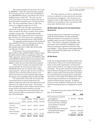The commercial paper revenue notes were issued by MHHEFA. Under the commercial paper program, the University may have revenue notes outstanding of up to \$80,000,000 to finance and refinance the costs of qualified projects to July 2031. The notes are unsecured, bear interest at rates that are fixed at the date of issue and may have maturities up to 270 days from that date. The notes outstanding at June 30, 2001, bear interest at a weighted-average rate of 3.24%.

In April 2001, the University entered into an interest rate swap agreement with a national bank to reduce its interest rate risk on a portion of the commercial paper revenue notes. The agreement extends through April 2007 and provides for the University to pay a fixed rate of 5.414% and receive a variable rate based on a notional principal amount of \$20,100,000.

The aggregate annual maturities of the bonds and notes payable for the five years subsequent to June 30, 2001 are as follows: 2002, \$14,850,000; 2003, \$24,306,000; 2004, \$16,772,000; 2005, \$14,451,000; and 2006, \$15,359,000.

Total interest costs incurred and paid were \$28,922,000 in 2001 and \$28,426,000 in 2000, of which \$514,000 and \$2,653,000 was capitalized in 2001 and 2000, respectively. Interest income of \$2,484,000 in 2001 and \$2,480,000 in 2000 earned from the investment of the unexpended proceeds of certain borrowings has been applied to reduce the costs of the related assets acquired.

Under terms of a master note agreement with a commercial bank, the University may borrow up to \$50,000,000 under a line of credit for APL working capital purposes. Advances under the line of credit are unsecured, due on demand and bear interest a rate which varies based on certain specified market indices. No advances were outstanding at June 30, 2001 and 2000.

The estimated fair value of the University's debt is determined based on quoted market prices for publicly-traded issues and on the discounted future cash payments to be made for other issues. The discount rates used approximate current market rates for loans or groups of loans with similar maturities and credit quality. The carrying amount and estimated fair value of the University's debt are summarized as follows at June 30 (in thousands):

|                     |   | <b>2001</b> |                   | 2000     |                  |
|---------------------|---|-------------|-------------------|----------|------------------|
|                     |   | Carrying    | Estimated         | Carrying | <b>Estimated</b> |
|                     |   | amount      | fair value        | amount   | fair value       |
| Variable rate bonds |   |             |                   |          |                  |
| and notes           | S | 88,375      | 88,375            | 109.308  | 109,308          |
| Fixed rate bonds    |   |             |                   |          |                  |
| and notes           |   |             | 386, 342 420, 100 | 399,255  | 423.924          |
| Commercial paper    |   |             |                   |          |                  |
| revenue notes       |   | 80,000      | 80,000            | 31,395   | 31,395           |
|                     |   | \$554.717   | 588,475           | 539.958  | 564.627          |

Fair value estimates are made at a specific point in time, are subjective in nature and involve uncertainties and matters of judgment. The University is not required to settle its debt obligations at fair value and settlement is not possible in some cases because of the terms under which the debt was issued.

#### **(8) Refundable Advances from the United States Government**

Funds provided by the United States Government under the Federal Perkins, Nursing and Health Professions Student Loan programs are loaned to qualified students and may be reloaned after collections. These funds are ultimately refundable to the government and are included in obligations under deferred compensation agreements and other longterm liabilities. These advances totaled approximately \$30,352,000 and \$29,812,000 at June 30, 2001 and 2000, respectively.

#### **(9) Net Assets**

Under accounting principles generally accepted in the United States of America for external financial reporting by not-for-profit organizations, unrestricted net assets are those which are not subject to donor-imposed restrictions. The practices used by the University for internal financial management and reporting purposes differ in certain respects from the practices prescribed for external financial reporting purposes, particularly with respect to the timing of recognition of the release of donor-imposed restrictions on contributions and related investment income and gains. In addition, certain net assets classified as unrestricted for external financial reporting purposes are designated for specific uses.

Unrestricted net assets consist of the following at June 30 (in thousands):

|                                 |   | 200 I   | 2000                  |
|---------------------------------|---|---------|-----------------------|
| Net investment in property      |   |         |                       |
| and equipment                   | S | 397,411 | 360,386               |
| APL stabilization, contingency  |   |         |                       |
| and research fund, excluding    |   |         |                       |
| net investment in property      |   |         |                       |
| and equipment                   |   | 116,656 | 106,575               |
| Funds designated for divisional |   |         |                       |
| and departmental support        |   |         | 1,301,531 1,367,419   |
| Student loan funds              |   | 12,926  | 12,326                |
|                                 |   |         | \$1.828.524 1.846.706 |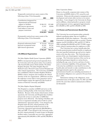Temporarily restricted new assets consist of the following at June 30 (in thousands):

|                              | <b>2001</b> | 2000    |
|------------------------------|-------------|---------|
| Contributions designated for |             |         |
| departmental and divisional  |             |         |
| support or facilities        | \$308,319   | 192,488 |
| Split interest agreements    | 21,367      | 18,896  |
| Land subject to time and     |             |         |
| purpose restrictions         | 13,188      | 13,188  |
|                              | \$342.874   | 224.572 |

Permanently restriced new assets consist of the following at June 30 (in thousands):

|                               | 2001      | 2000    |
|-------------------------------|-----------|---------|
| Perpetual endowment funds     | \$719,930 | 663,619 |
| Interests in perpetual trusts | 45,305    | 49,765  |
| Split interest agreements     | 17,402    | 16,781  |
|                               | \$782,637 | 730,165 |

#### **(10) Affiliated Organizations**

#### *The Johns Hopkins Health System Corporation (JHHS)*

JHHS is incorporated and governed separately from the University and is the parent entity of an academically-based health system which includes The Johns Hopkins Hospital, The Johns Hopkins Bayview Medical Center, Howard County General Hospital and other related organizations. The University and JHHS have established a Board of Johns Hopkins Medicine (JHM) to direct, integrate and coordinate the clinical activities of the two organizations. JHM does not have the authority to incur debt or issue guarantees and its annual budgets require the approval of the boards of trustees of both the University and JHHS.

#### *The Johns Hopkins Hospital (Hospital)*

The Hospital is a member of JHHS and serves as the primary teaching facility of the University's School of Medicine. Because of the closely related nature of their operations, the University and Hospital share facilities and provide services to each other to fulfill their purposes more effectively. The sharing of facilities and services is negotiated annually and set forth in a Joint Administrative Agreement (JAA). Costs charged to the Hospital under the JAA, related primarily to the provision of professional medical services by the University, aggregated approximately \$68,000,000 in 2001 and 2000. Costs charged to the University under the JAA, related primarily to rental of space in Hospital facilities under a renewable one-year lease, aggregated approximately \$43,600,000 in 2001 and \$42,900,000 in 2000.

#### *Dome Corporation (Dome)*

Dome is a for-profit, corporate joint venture of the University and JHHS which is 50% owned by each institution. Dome provides property management and development and certain other services to its owners and others. Costs charged to the University by Dome and its affiliates, related primarily to property rentals and management services, aggregated approximately \$13,100,000 in 2001 and \$13,300,000 in 2000.

#### **(11) Pension and Postretirement Benefit Plans**

The University has several pension plans, primarily defined contribution plans, that are available to substantially all full-time employees. The policy of the University is to fund pension costs as accrued. Pension expense was \$52,416,000 in 2001 and \$52,217,000 in 2000, including \$16,888,000 and \$19,792,000, respectively, related to pension plans for employees at APL.

The University has a retiree benefits plan that provides postretirement medical benefits to employees who meet specified minimum age and service requirements at the time they retire. The University pays a portion of the cost of participants' medical insurance coverage. The University's portion of the cost for an individual participant depends on various factors, including the age, years of service and time of retirement or retirement eligibility of the participant. The University has established a trust fund for its retiree benefits plan and intends to make contributions to the fund approximately equal to the annual net postretirement benefit cost, including amortization of the transition obligation over a period of 20 years from July 1, 1993.

Information relating to the obligations, assets and funded status of the plan at June 30, 2001 and 2000 and for the years then ended is summarized as follows (in thousands):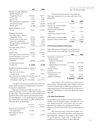| notes to financial statements |
|-------------------------------|
|-------------------------------|

|                                                      | 2001          | 2000       |
|------------------------------------------------------|---------------|------------|
| Change in benefit obligation:                        |               |            |
| Benefit obligation at                                |               |            |
| beginning of year                                    | \$92,839      | 94,935     |
| Service cost                                         | 2,391         | 2,321      |
| Interest cost                                        | 7,171         | 7,002      |
| Plan participant contributions                       | 1,390         | 1,221      |
| Actuarial loss (gain)                                | 2,907         | (6, 530)   |
| Benefits paid                                        | (7,266)       | (6, 110)   |
| Benefit obligation at end                            |               |            |
| of year                                              | 99,432        | 92,839     |
| Change in plan assets:                               |               |            |
| Fair value of plan assets at                         |               |            |
| beginning of year                                    | 54,315        | 50,959     |
| Actual return on plan assets                         | (4, 336)      | 541        |
| University contribution                              | 8,478         | 7,704      |
| Plan participant contributions                       | 1,390         | 1,221      |
| Benefits paid                                        | (7,266)       | (6, 110)   |
| Fair value of plan assets at                         |               |            |
| end of year                                          | 52,581        | 54,315     |
| Funded status                                        | (46, 851)     | (38, 524)  |
| Unrecognized net actuarial loss                      | 12,744        | 495        |
| Unamortized prior service cost                       | 541           | 618        |
| Unrecognized transition                              |               |            |
| obligation                                           | 30,740        | 33,302     |
| Accrued postretirement                               |               |            |
| benefit cost                                         | (2,826)<br>\$ | (4, 109)   |
| Weighted-average assumptions at June 30:             |               |            |
| Discount rate                                        | 7.75%         | 8.00%      |
| Expected rate of return                              |               |            |
| on plan assets                                       | 8.50%         | 8.50%      |
| Rate of increase in health care costs for next year: |               |            |
| Participants over age 65                             | 6.50%         | 7.25%      |
| Participants under age 65 6.50-8.00%                 |               | 6.50-7.25% |
|                                                      |               |            |

The plan assets consist primarily of investments in mutual funds managed by an independent investment management organization.

The rates of increase in health care costs were assumed to decrease to 5.25% in 2003 and to remain at that level thereafter. Assumed health care cost trend rates have a significant effect on the reported postretirement benefit cost and obligation. A one-percentage point change in the assumed rates used at June 30, 2001 would have the following effects (in thousands):

|                                               | One-percent<br>Increase | One-percent<br>Decrease |
|-----------------------------------------------|-------------------------|-------------------------|
| Total service and interest<br>cost components | \$1,200                 | (971)                   |
| Postretirement benefit<br>obligation          | 11,653                  | (9,647)                 |

The postretirement benefit cost includes the following components for the years ended June 30 (in thousands):

|                                | 2001     | 2000     |
|--------------------------------|----------|----------|
| Service cost                   | \$2,391  | 2,321    |
| Interest cost on accumulated   |          |          |
| benefit obligation             | 7,171    | 7,002    |
| Amortization of transition     |          |          |
| obligation                     | 2,562    | 2,562    |
| Amortization of prior service  |          |          |
| cost                           | 77       | 77       |
| Amortization of actuarial gain | (86)     | (37)     |
| Expected return on plan assets | (4, 724) | (4, 463) |
|                                | \$ 7.391 | 7.462    |

#### **(12) Functional Expense Information**

Operating expenses by function are summarized as follows for the years ended June 30 (in thousands):

|                                   | <b>2001</b> | 2000      |
|-----------------------------------|-------------|-----------|
| Instruction, research and         |             |           |
| clinical practice:                |             |           |
| Academic and support              |             |           |
| divisions                         | \$1,272,065 | 1,175,208 |
| <b>Applied Physics Laboratory</b> |             |           |
| contracts                         | 453,545     | 401,584   |
| Student services                  | 33,228      | 32,656    |
| Libraries                         | 21,938      | 18,765    |
| General services and              |             |           |
| administration                    | 129,657     | 117,281   |
| Auxiliary enterprises             | 54,399      | 48,673    |
|                                   | \$1.964.832 | 1,794,167 |

Costs related to the operation and maintenance of physical plant, including depreciation of plant assets and interest on related debt, are allocated to program and supporting activities based upon periodic inventories of facilities. Fundraising costs were not significant in 2001 and 2000.

#### **(13) Lease Commitments**

As described in note 10, the University leases certain facilities from the Hospital under a renewable one-year lease which provides for a rent equal to the cost to the Hospital of providing and maintaining the facilities. This lease has been renewed for the year ending June 30, 2002.

The University leases certain other facilities used in its academic and research operations under long-term operating leases expiring at various dates to 2019, subject to renewal options in certain cases. Certain of these facilities are leased from Dome or other affiliated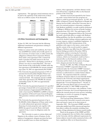organizations. The aggregate annual minimum rents to be paid to the expiration of the initial terms of these leases are as follows at June 30 (in thousands):

|            | <b>Affiliates</b> | <b>Others</b> | <b>Total</b> |
|------------|-------------------|---------------|--------------|
| 2002       | \$15,049          | 14,411        | 29,460       |
| 2003       | 13,452            | 13,065        | 26,517       |
| 2004       | 13,595            | 12,365        | 25,960       |
| 2005       | 13,363            | 11,209        | 24,572       |
| 2006       | 12,756            | 8,591         | 21,347       |
| After 2006 | 154,573           | 39,591        | 194,164      |
|            | \$222,788         | 99.232        | 322,020      |

#### **(14) Other Commitments and Contingencies**

At June 30, 2001, the University had the following additional commitments and guarantees relating to affiliated organizations:

- Subject to various terms and conditions, the University and JHHS have jointly and severally agreed, on the occurrence of certain events, to either assume the obligations of Patient First Corporation (Patient First) under a loan agreement with a commercial bank or purchase the bank's interest in the loan agreement. Patient First is developing a network of primary care sites in central Maryland. The maximum amount of the credit facility available under the loan agreement is \$24,000,000; the amount outstanding at June 30, 2001 was approximately \$6,530,000.
- The University has guaranteed payment of 50% of amounts borrowed by Johns Hopkins Home Care Group, Inc. under line of credit agreements with a commercial bank. The maximum amount available under these agreements is \$7,500,000; the amount outstanding at June 30, 2001 was approximately \$5,908,000.
- The University has guaranteed payment of a specified percentage of annual debt service payments (up to an annual maximum of approximately \$385,000) due under a loan issued by MHHEFA to JHHS to finance the acquisition of Howard County General Hospital. This guarantee continues until maturity of the loan in 2033.
- The University has guaranteed payment of up to \$1,400,000 of debt obligations of Dome under terms of a credit enhancement agreement relating to financing of certain properties and, together with JHHS, has agreed to provide Dome with funds required, if any, to meet its obligations under the agreement.

The University is a party to various claims and litigation in the ordinary course of business. In the opinion of management, adequate provision has been made for possible losses on claims and litigation

matters, where appropriate, and their ultimate resolution will not have a significant effect on the financial position of the University.

Amounts received and expended by the University under various federal and state programs are subject to audit by governmental agencies. In 1997, the Office of Inspector General, Department of Health and Human Services (OIG), advised the University that as part of its national program to determine compliance with Medicare guidelines, an audit would be performed of billings to Medicare for services of faculty teaching physicians from 1991-1995. The audit began in 1998 and is in progress. Management believes the University has made a good faith effort to comply with Medicare billing guidelines, but that the guidelines were unclear, excessively detailed, lacking consistent application and, in some respects, contrary to published regulations. It is possible that the OIG's interpretations of the guidelines with respect to the nature, extent and/or specific content of the records needed to support billings to Medicare may differ from the University's. Interim findings provided in December 2000 by independent auditors reviewing the University's compliance with Medicare regulations identified variances, which even if sustained, would not have a material effect on the financial condition of the University and for which, in the opinion of management, adequate provision has been made.

On July 19, 2001, the Office of Human Research Protections ("OHRP") suspended clinical trials conducted under the University's OHRP "assurance". Funding for federal research was not interrupted. The assurance is authorization to conduct human subjects research. The suspension halted the continued enrollment of human subjects in most federally funded research at the University and related organizations named in the assurance, including The Johns Hopkins Hospital (the "Covered Organizations"). On July 21, 2001, the University filed its plan of correction with OHRP and on July 22, 2001 OHRP accepted the University's plan of correction, with conditions. Under the plan of correction, the Covered Organizations must address the research protocol review process, including conducting a re-review of a majority of ongoing protocols prior to resuming them.

The Food and Drug Administration ("FDA") also reviewed the University's research review procedures and issued a report on its observations in September 2001. The University's OHRP corrective action plan satisfied most FDA concerns and steps have been taken to address the remainder, including closer scrutiny of drugs administered in human research studies.

Based on the progress of the OHRP and FDA reviews, management does not believe that compliance by the University with the additional requirements for human subjects research studies summarized above will have a significant effect on its financial position.